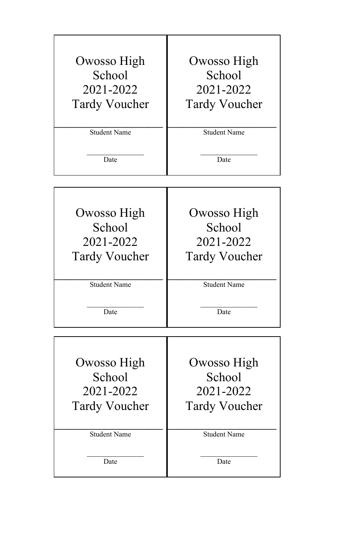| Owosso High<br>School<br>2021-2022<br><b>Tardy Voucher</b> | Owosso High<br>School<br>2021-2022<br><b>Tardy Voucher</b> |
|------------------------------------------------------------|------------------------------------------------------------|
| <b>Student Name</b>                                        | <b>Student Name</b>                                        |
| Date                                                       | Date                                                       |

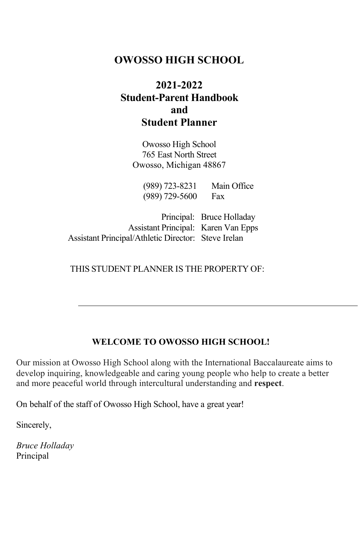# **OWOSSO HIGH SCHOOL**

# **2021-2022 Student-Parent Handbook and Student Planner**

Owosso High School 765 East North Street Owosso, Michigan 48867

(989) 723-8231 Main Office (989) 729-5600 Fax

Principal: Bruce Holladay Assistant Principal: Karen Van Epps Assistant Principal/Athletic Director: Steve Irelan

#### THIS STUDENT PLANNER IS THE PROPERTY OF:

#### **WELCOME TO OWOSSO HIGH SCHOOL!**

Our mission at Owosso High School along with the International Baccalaureate aims to develop inquiring, knowledgeable and caring young people who help to create a better and more peaceful world through intercultural understanding and **respect**.

On behalf of the staff of Owosso High School, have a great year!

Sincerely,

*Bruce Holladay* Principal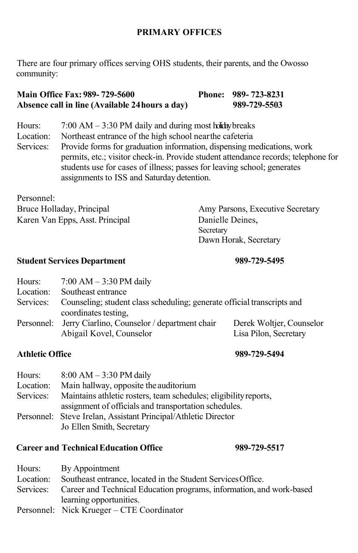#### **PRIMARY OFFICES**

There are four primary offices serving OHS students, their parents, and the Owosso community:

#### **Main Office Fax: 989- 729-5600 Phone: 989- 723-8231 Absence call in line (Available 24hours a day) 989-729-5503**

| Hours:    | $7:00$ AM $-3:30$ PM daily and during most holiday breaks                          |
|-----------|------------------------------------------------------------------------------------|
| Location: | Northeast entrance of the high school near the cafeteria                           |
| Services: | Provide forms for graduation information, dispensing medications, work             |
|           | permits, etc.; visitor check-in. Provide student attendance records; telephone for |
|           | students use for cases of illness; passes for leaving school; generates            |
|           | assignments to ISS and Saturday detention.                                         |

Personnel:<br>Bruce Holladay, Principal Karen Van Epps, Asst. Principal Danielle Deines,

Amy Parsons, Executive Secretary Secretary Dawn Horak, Secretary

#### **Student Services Department 989-729-5495**

# Hours: 7:00 AM – 3:30 PM daily<br>Location: Southeast entrance Southeast entrance Services: Counseling; student class scheduling; generate official transcripts and coordinates testing, Personnel: Jerry Ciarlino, Counselor / department chair Derek Woltjer, Counselor Abigail Kovel, Counselor

#### **Athletic Office 989-729-5494**

| Hours:    | $8:00 AM - 3:30 PM$ daily                                                  |
|-----------|----------------------------------------------------------------------------|
| Location: | Main hallway, opposite the auditorium                                      |
|           | Services: Maintains athletic rosters, team schedules; eligibility reports, |
|           | assignment of officials and transportation schedules.                      |
|           | Personnel: Steve Irelan, Assistant Principal/Athletic Director             |
|           | Jo Ellen Smith, Secretary                                                  |

#### **Career and TechnicalEducation Office 989-729-5517**

| Hours: By Appointment                                                          |
|--------------------------------------------------------------------------------|
| Location: Southeast entrance, located in the Student Services Office.          |
| Services: Career and Technical Education programs, information, and work-based |
| learning opportunities.                                                        |
| Personnel: Nick Krueger – CTE Coordinator                                      |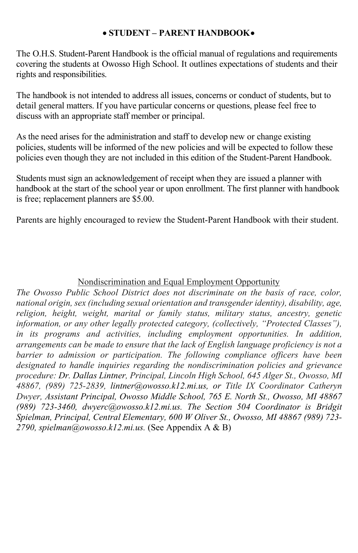#### • **STUDENT – PARENT HANDBOOK**•

The O.H.S. Student-Parent Handbook is the official manual of regulations and requirements covering the students at Owosso High School. It outlines expectations of students and their rights and responsibilities.

The handbook is not intended to address all issues, concerns or conduct of students, but to detail general matters. If you have particular concerns or questions, please feel free to discuss with an appropriate staff member or principal.

As the need arises for the administration and staff to develop new or change existing policies, students will be informed of the new policies and will be expected to follow these policies even though they are not included in this edition of the Student-Parent Handbook.

Students must sign an acknowledgement of receipt when they are issued a planner with handbook at the start of the school year or upon enrollment. The first planner with handbook is free; replacement planners are \$5.00.

Parents are highly encouraged to review the Student-Parent Handbook with their student.

# Nondiscrimination and Equal Employment Opportunity

*The Owosso Public School District does not discriminate on the basis of race, color, national origin, sex (including sexual orientation and transgender identity), disability, age, religion, height, weight, marital or family status, military status, ancestry, genetic information, or any other legally protected category, (collectively, "Protected Classes"), in its programs and activities, including employment opportunities. In addition, arrangements can be made to ensure that the lack of English language proficiency is not a barrier to admission or participation. The following compliance officers have been designated to handle inquiries regarding the nondiscrimination policies and grievance procedure: Dr. Dallas Lintner, Principal, Lincoln High School, 645 Alger St., Owosso, MI 48867, (989) 725-2839, lintner@owosso.k12.mi.us, or Title IX Coordinator Catheryn Dwyer, Assistant Principal, Owosso Middle School, 765 E. North St., Owosso, MI 48867 (989) 723-3460, [dwyerc@owosso.k12.mi.us.](mailto:dwyerc@owosso.k12.mi.us) The Section 504 Coordinator is Bridgit Spielman, Principal, Central Elementary, 600 W Oliver St., Owosso, MI 48867 (989) 723- 2790, [spielman@owosso.k12.mi.us.](mailto:spielman@owosso.k12.mi.us)* (See Appendix A & B)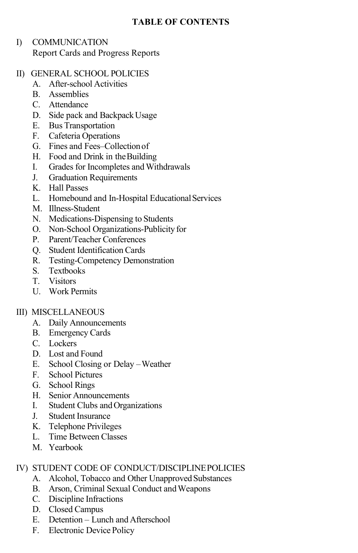### **TABLE OF CONTENTS**

#### I) COMMUNICATION Report Cards and Progress Reports

#### II) GENERAL SCHOOL POLICIES

- A. After-school Activities
- B. Assemblies
- C. Attendance
- D. Side pack and Backpack Usage
- E. Bus Transportation
- F. Cafeteria Operations
- G. Fines and Fees–Collectionof
- H. Food and Drink in theBuilding
- I. Grades for Incompletes and Withdrawals
- J. Graduation Requirements
- K. Hall Passes
- L. Homebound and In-Hospital Educational Services
- M. Illness-Student
- N. Medications-Dispensing to Students
- O. Non-School Organizations-Publicity for
- P. Parent/Teacher Conferences
- Q. Student Identification Cards
- R. Testing-Competency Demonstration
- S. Textbooks
- T. Visitors
- U. Work Permits

#### III) MISCELLANEOUS

- A. Daily Announcements
- B. Emergency Cards
- C. Lockers
- D. Lost and Found
- E. School Closing or Delay –Weather
- F. School Pictures
- G. School Rings
- H. Senior Announcements
- I. Student Clubs andOrganizations
- J. Student Insurance
- K. Telephone Privileges
- L. Time Between Classes
- M. Yearbook

### IV) STUDENT CODE OF CONDUCT/DISCIPLINEPOLICIES

- A. Alcohol, Tobacco and Other Unapproved Substances
- B. Arson, Criminal Sexual Conduct and Weapons
- C. Discipline Infractions
- D. Closed Campus
- E. Detention Lunch and Afterschool
- F. Electronic Device Policy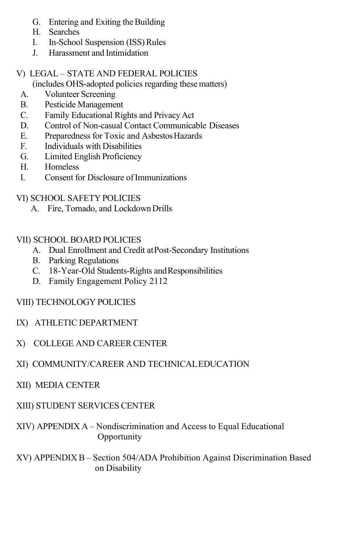- G. Entering and Exiting the Building
- H. Searches
- I. In-School Suspension (ISS)Rules
- J. Harassment and Intimidation

# V) LEGAL – STATE AND FEDERAL POLICIES

(includes OHS-adopted policies regarding these matters)

- A. Volunteer Screening
- B. Pesticide Management
- C. Family Educational Rights and PrivacyAct
- D. Control of Non-casual Contact Communicable Diseases
- E. Preparedness for Toxic and AsbestosHazards
- F. Individuals with Disabilities
- G. Limited English Proficiency
- H. Homeless
- I. Consent for Disclosure ofImmunizations
- VI) SCHOOL SAFETY POLICIES
	- A. Fire, Tornado, and LockdownDrills

### VII) SCHOOL BOARD POLICIES

- A. Dual Enrollment and Credit atPost-Secondary Institutions
- B. Parking Regulations
- C. 18-Year-Old Students-Rights andResponsibilities
- D. Family Engagement Policy 2112
- VIII) TECHNOLOGY POLICIES
- IX) ATHLETIC DEPARTMENT
- X) COLLEGE AND CAREER CENTER

# XI) COMMUNITY/CAREER AND TECHNICALEDUCATION

XII) MEDIA CENTER

# XIII) STUDENT SERVICES CENTER

XIV) APPENDIX A – Nondiscrimination and Access to Equal Educational Opportunity

XV) APPENDIX B – Section 504/ADA Prohibition Against Discrimination Based on Disability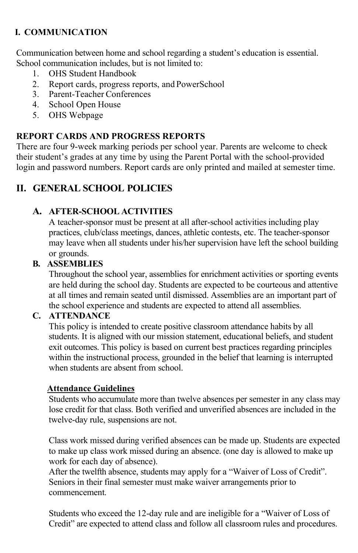# **I. COMMUNICATION**

Communication between home and school regarding a student's education is essential. School communication includes, but is not limited to:

- 1. OHS Student Handbook
- 2. Report cards, progress reports, and PowerSchool
- 3. Parent-Teacher Conferences
- 4. School Open House
- 5. OHS Webpage

### **REPORT CARDS AND PROGRESS REPORTS**

There are four 9-week marking periods per school year. Parents are welcome to check their student's grades at any time by using the Parent Portal with the school-provided login and password numbers. Report cards are only printed and mailed at semester time.

# **II. GENERAL SCHOOL POLICIES**

### **A. AFTER-SCHOOL ACTIVITIES**

A teacher-sponsor must be present at all after-school activities including play practices, club/class meetings, dances, athletic contests, etc. The teacher-sponsor may leave when all students under his/her supervision have left the school building or grounds.

### **B. ASSEMBLIES**

Throughout the school year, assemblies for enrichment activities or sporting events are held during the school day. Students are expected to be courteous and attentive at all times and remain seated until dismissed. Assemblies are an important part of the school experience and students are expected to attend all assemblies.

#### **C. ATTENDANCE**

This policy is intended to create positive classroom attendance habits by all students. It is aligned with our mission statement, educational beliefs, and student exit outcomes. This policy is based on current best practices regarding principles within the instructional process, grounded in the belief that learning is interrupted when students are absent from school.

#### **Attendance Guidelines**

Students who accumulate more than twelve absences per semester in any class may lose credit for that class. Both verified and unverified absences are included in the twelve-day rule, suspensions are not.

Class work missed during verified absences can be made up. Students are expected to make up class work missed during an absence. (one day is allowed to make up work for each day of absence).

After the twelfth absence, students may apply for a "Waiver of Loss of Credit". Seniors in their final semester must make waiver arrangements prior to commencement.

Students who exceed the 12-day rule and are ineligible for a "Waiver of Loss of Credit" are expected to attend class and follow all classroom rules and procedures.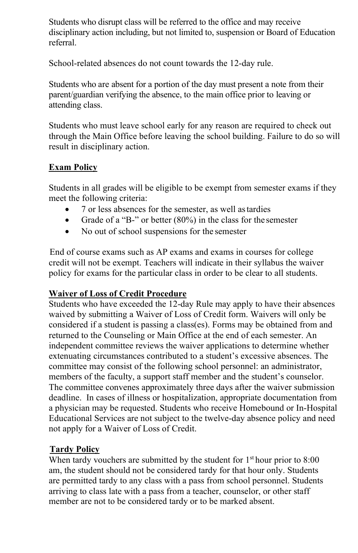Students who disrupt class will be referred to the office and may receive disciplinary action including, but not limited to, suspension or Board of Education referral.

School-related absences do not count towards the 12-day rule.

Students who are absent for a portion of the day must present a note from their parent/guardian verifying the absence, to the main office prior to leaving or attending class.

Students who must leave school early for any reason are required to check out through the Main Office before leaving the school building. Failure to do so will result in disciplinary action.

### **Exam Policy**

Students in all grades will be eligible to be exempt from semester exams if they meet the following criteria:

- 7 or less absences for the semester, as well astardies
- Grade of a "B-" or better (80%) in the class for the semester
- No out of school suspensions for the semester

End of course exams such as AP exams and exams in courses for college credit will not be exempt. Teachers will indicate in their syllabus the waiver policy for exams for the particular class in order to be clear to all students.

### **Waiver of Loss of Credit Procedure**

Students who have exceeded the 12-day Rule may apply to have their absences waived by submitting a Waiver of Loss of Credit form. Waivers will only be considered if a student is passing a class(es). Forms may be obtained from and returned to the Counseling or Main Office at the end of each semester. An independent committee reviews the waiver applications to determine whether extenuating circumstances contributed to a student's excessive absences. The committee may consist of the following school personnel: an administrator, members of the faculty, a support staff member and the student's counselor. The committee convenes approximately three days after the waiver submission deadline. In cases of illness or hospitalization, appropriate documentation from a physician may be requested. Students who receive Homebound or In-Hospital Educational Services are not subject to the twelve-day absence policy and need not apply for a Waiver of Loss of Credit.

# **Tardy Policy**

When tardy vouchers are submitted by the student for  $1<sup>st</sup>$  hour prior to  $8:00$ am, the student should not be considered tardy for that hour only. Students are permitted tardy to any class with a pass from school personnel. Students arriving to class late with a pass from a teacher, counselor, or other staff member are not to be considered tardy or to be marked absent.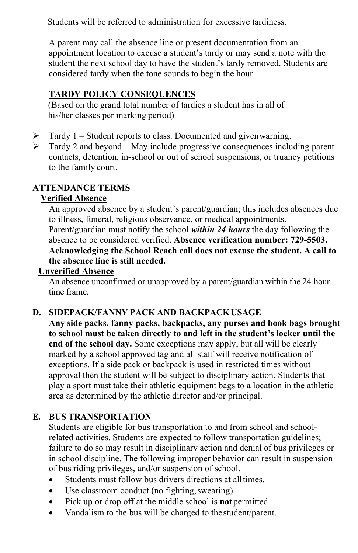Students will be referred to administration for excessive tardiness.

A parent may call the absence line or present documentation from an appointment location to excuse a student's tardy or may send a note with the student the next school day to have the student's tardy removed. Students are considered tardy when the tone sounds to begin the hour.

### **TARDY POLICY CONSEQUENCES**

(Based on the grand total number of tardies a student has in all of his/her classes per marking period)

- $\triangleright$  Tardy 1 Student reports to class. Documented and given warning.
- $\triangleright$  Tardy 2 and beyond May include progressive consequences including parent contacts, detention, in-school or out of school suspensions, or truancy petitions to the family court.

#### **ATTENDANCE TERMS**

#### **Verified Absence**

An approved absence by a student's parent/guardian; this includes absences due to illness, funeral, religious observance, or medical appointments.

Parent/guardian must notify the school *within 24 hours* the day following the absence to be considered verified. **Absence verification number: 729-5503. Acknowledging the School Reach call does not excuse the student. A call to the absence line is still needed.**

#### **Unverified Absence**

An absence unconfirmed or unapproved by a parent/guardian within the 24 hour time frame.

### **D. SIDEPACK/FANNY PACK AND BACKPACKUSAGE**

**Any side packs, fanny packs, backpacks, any purses and book bags brought to school must be taken directly to and left in the student's locker until the end of the school day.** Some exceptions may apply, but all will be clearly marked by a school approved tag and all staff will receive notification of exceptions. If a side pack or backpack is used in restricted times without approval then the student will be subject to disciplinary action. Students that play a sport must take their athletic equipment bags to a location in the athletic area as determined by the athletic director and/or principal.

# **E. BUS TRANSPORTATION**

Students are eligible for bus transportation to and from school and schoolrelated activities. Students are expected to follow transportation guidelines; failure to do so may result in disciplinary action and denial of bus privileges or in school discipline. The following improper behavior can result in suspension of bus riding privileges, and/or suspension of school.

- Students must follow bus drivers directions at alltimes.
- Use classroom conduct (no fighting, swearing)
- Pick up or drop off at the middle school is **not**permitted
- Vandalism to the bus will be charged to thestudent/parent.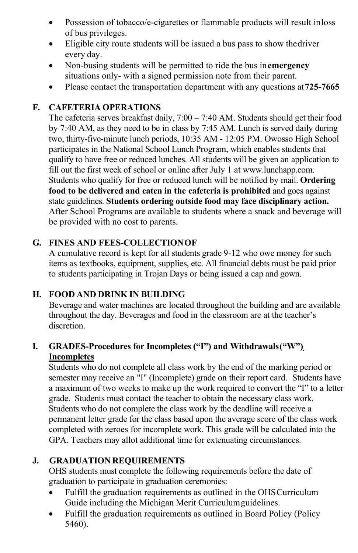- Possession of tobacco/e-cigarettes or flammable products will result in loss of bus privileges.
- Eligible city route students will be issued a bus pass to show thedriver every day.
- Non-busing students will be permitted to ride the bus in**emergency** situations only- with a signed permission note from their parent.
- Please contact the transportation department with any questions at**725-7665**

#### **F. CAFETERIA OPERATIONS**

The cafeteria serves breakfast daily, 7:00 – 7:40 AM. Students should get their food by 7:40 AM, as they need to be in class by 7:45 AM. Lunch is served daily during two, thirty-five-minute lunch periods, 10:35 AM - 12:05 PM. Owosso High School participates in the National School Lunch Program, which enables students that qualify to have free or reduced lunches. All students will be given an application to fill out the first week of school or online after July 1 a[t www.lunchapp.com.](http://www.lunchapp.com/) Students who qualify for free or reduced lunch will be notified by mail. **Ordering food to be delivered and eaten in the cafeteria is prohibited** and goes against state guidelines. **Students ordering outside food may face disciplinary action.**  After School Programs are available to students where a snack and beverage will be provided with no cost to parents.

### **G. FINES AND FEES-COLLECTIONOF**

A cumulative record is kept for all students grade 9-12 who owe money for such items as textbooks, equipment, supplies, etc. All financial debts must be paid prior to students participating in Trojan Days or being issued a cap and gown.

#### **H. FOOD AND DRINK IN BUILDING**

Beverage and water machines are located throughout the building and are available throughout the day. Beverages and food in the classroom are at the teacher's discretion.

# **I. GRADES-Procedures for Incompletes ("I") and Withdrawals("W") Incompletes**

Students who do not complete all class work by the end of the marking period or semester may receive an "I" (Incomplete) grade on their report card. Students have a maximum of two weeks to make up the work required to convert the "I" to a letter grade. Students must contact the teacher to obtain the necessary class work. Students who do not complete the class work by the deadline will receive a permanent letter grade for the class based upon the average score of the class work completed with zeroes for incomplete work. This grade will be calculated into the GPA. Teachers may allot additional time for extenuating circumstances.

### **J. GRADUATION REQUIREMENTS**

OHS students must complete the following requirements before the date of graduation to participate in graduation ceremonies:

- Fulfill the graduation requirements as outlined in the OHSCurriculum Guide including the Michigan Merit Curriculumguidelines.
- Fulfill the graduation requirements as outlined in Board Policy (Policy 5460).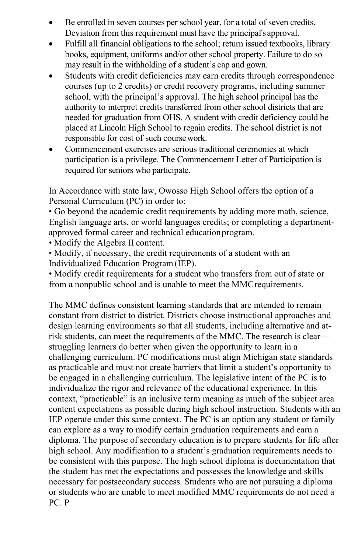- Be enrolled in seven courses per school year, for a total of seven credits. Deviation from this requirement must have the principal's approval.
- Fulfill all financial obligations to the school; return issued textbooks, library books, equipment, uniforms and/or other school property. Failure to do so may result in the withholding of a student's cap and gown.
- Students with credit deficiencies may earn credits through correspondence courses (up to 2 credits) or credit recovery programs, including summer school, with the principal's approval. The high school principal has the authority to interpret credits transferred from other school districts that are needed for graduation from OHS. A student with credit deficiency could be placed at Lincoln High School to regain credits. The school district is not responsible for cost of such coursework.
- Commencement exercises are serious traditional ceremonies at which participation is a privilege. The Commencement Letter of Participation is required for seniors who participate.

In Accordance with state law, Owosso High School offers the option of a Personal Curriculum (PC) in order to:

• Go beyond the academic credit requirements by adding more math, science, English language arts, or world languages credits; or completing a departmentapproved formal career and technical educationprogram.

• Modify the Algebra II content.

• Modify, if necessary, the credit requirements of a student with an Individualized Education Program (IEP).

• Modify credit requirements for a student who transfers from out of state or from a nonpublic school and is unable to meet the MMCrequirements.

The MMC defines consistent learning standards that are intended to remain constant from district to district. Districts choose instructional approaches and design learning environments so that all students, including alternative and atrisk students, can meet the requirements of the MMC. The research is clear struggling learners do better when given the opportunity to learn in a challenging curriculum. PC modifications must align Michigan state standards as practicable and must not create barriers that limit a student's opportunity to be engaged in a challenging curriculum. The legislative intent of the PC is to individualize the rigor and relevance of the educational experience. In this context, "practicable" is an inclusive term meaning as much of the subject area content expectations as possible during high school instruction. Students with an IEP operate under this same context. The PC is an option any student or family can explore as a way to modify certain graduation requirements and earn a diploma. The purpose of secondary education is to prepare students for life after high school. Any modification to a student's graduation requirements needs to be consistent with this purpose. The high school diploma is documentation that the student has met the expectations and possesses the knowledge and skills necessary for postsecondary success. Students who are not pursuing a diploma or students who are unable to meet modified MMC requirements do not need a PC. P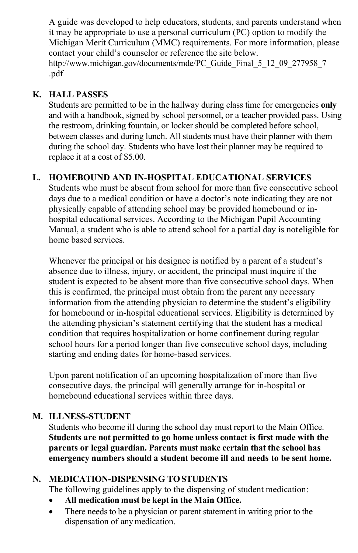A guide was developed to help educators, students, and parents understand when it may be appropriate to use a personal curriculum (PC) option to modify the Michigan Merit Curriculum (MMC) requirements. For more information, please contact your child's counselor or reference the site below. [http://www.michigan.gov/documents/mde/PC\\_Guide\\_Final\\_5\\_12\\_09\\_277958\\_7](http://www.michigan.gov/documents/mde/PC_Guide_Final_5_12_09_277958_7) .pdf

#### **K. HALL PASSES**

Students are permitted to be in the hallway during class time for emergencies **only**  and with a handbook, signed by school personnel, or a teacher provided pass. Using the restroom, drinking fountain, or locker should be completed before school, between classes and during lunch. All students must have their planner with them during the school day. Students who have lost their planner may be required to replace it at a cost of \$5.00.

### **L. HOMEBOUND AND IN-HOSPITAL EDUCATIONAL SERVICES**

Students who must be absent from school for more than five consecutive school days due to a medical condition or have a doctor's note indicating they are not physically capable of attending school may be provided homebound or inhospital educational services. According to the Michigan Pupil Accounting Manual, a student who is able to attend school for a partial day is noteligible for home based services.

Whenever the principal or his designee is notified by a parent of a student's absence due to illness, injury, or accident, the principal must inquire if the student is expected to be absent more than five consecutive school days. When this is confirmed, the principal must obtain from the parent any necessary information from the attending physician to determine the student's eligibility for homebound or in-hospital educational services. Eligibility is determined by the attending physician's statement certifying that the student has a medical condition that requires hospitalization or home confinement during regular school hours for a period longer than five consecutive school days, including starting and ending dates for home-based services.

Upon parent notification of an upcoming hospitalization of more than five consecutive days, the principal will generally arrange for in-hospital or homebound educational services within three days.

#### **M. ILLNESS-STUDENT**

Students who become ill during the school day must report to the Main Office. **Students are not permitted to go home unless contact is first made with the parents or legal guardian. Parents must make certain that the school has emergency numbers should a student become ill and needs to be sent home.**

#### **N. MEDICATION-DISPENSING TOSTUDENTS**

The following guidelines apply to the dispensing of student medication:

- **All medication must be kept in the Main Office.**
- There needs to be a physician or parent statement in writing prior to the dispensation of anymedication.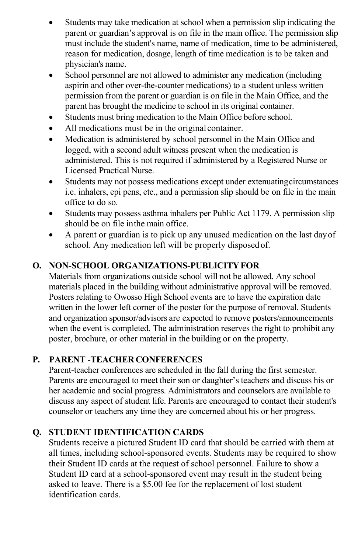- Students may take medication at school when a permission slip indicating the parent or guardian's approval is on file in the main office. The permission slip must include the student's name, name of medication, time to be administered, reason for medication, dosage, length of time medication is to be taken and physician's name.
- School personnel are not allowed to administer any medication (including aspirin and other over-the-counter medications) to a student unless written permission from the parent or guardian is on file in the Main Office, and the parent has brought the medicine to school in its original container.
- Students must bring medication to the Main Office before school.
- All medications must be in the original container.
- Medication is administered by school personnel in the Main Office and logged, with a second adult witness present when the medication is administered. This is not required if administered by a Registered Nurse or Licensed Practical Nurse.
- Students may not possess medications except under extenuatingcircumstances i.e. inhalers, epi pens, etc., and a permission slip should be on file in the main office to do so.
- Students may possess asthma inhalers per Public Act 1179. A permission slip should be on file inthe main office.
- A parent or guardian is to pick up any unused medication on the last dayof school. Any medication left will be properly disposed of.

# **O. NON-SCHOOL ORGANIZATIONS-PUBLICITYFOR**

Materials from organizations outside school will not be allowed. Any school materials placed in the building without administrative approval will be removed. Posters relating to Owosso High School events are to have the expiration date written in the lower left corner of the poster for the purpose of removal. Students and organization sponsor/advisors are expected to remove posters/announcements when the event is completed. The administration reserves the right to prohibit any poster, brochure, or other material in the building or on the property.

# **P. PARENT -TEACHERCONFERENCES**

Parent-teacher conferences are scheduled in the fall during the first semester. Parents are encouraged to meet their son or daughter's teachers and discuss his or her academic and social progress. Administrators and counselors are available to discuss any aspect of student life. Parents are encouraged to contact their student's counselor or teachers any time they are concerned about his or her progress.

### **Q. STUDENT IDENTIFICATION CARDS**

Students receive a pictured Student ID card that should be carried with them at all times, including school-sponsored events. Students may be required to show their Student ID cards at the request of school personnel. Failure to show a Student ID card at a school-sponsored event may result in the student being asked to leave. There is a \$5.00 fee for the replacement of lost student identification cards.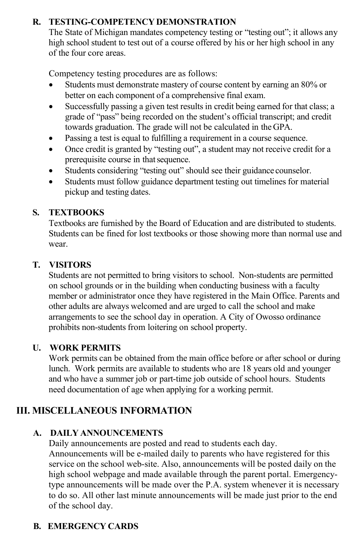# **R. TESTING-COMPETENCY DEMONSTRATION**

The State of Michigan mandates competency testing or "testing out"; it allows any high school student to test out of a course offered by his or her high school in any of the four core areas.

Competency testing procedures are as follows:

- Students must demonstrate mastery of course content by earning an 80% or better on each component of a comprehensive final exam.
- Successfully passing a given test results in credit being earned for that class; a grade of "pass" being recorded on the student's official transcript; and credit towards graduation. The grade will not be calculated in the GPA.
- Passing a test is equal to fulfilling a requirement in a course sequence.
- Once credit is granted by "testing out", a student may not receive credit for a prerequisite course in that sequence.
- Students considering "testing out" should see their guidance counselor.
- Students must follow guidance department testing out timelines for material pickup and testing dates.

### **S. TEXTBOOKS**

Textbooks are furnished by the Board of Education and are distributed to students. Students can be fined for lost textbooks or those showing more than normal use and wear.

# **T. VISITORS**

Students are not permitted to bring visitors to school. Non-students are permitted on school grounds or in the building when conducting business with a faculty member or administrator once they have registered in the Main Office. Parents and other adults are always welcomed and are urged to call the school and make arrangements to see the school day in operation. A City of Owosso ordinance prohibits non-students from loitering on school property.

### **U. WORK PERMITS**

Work permits can be obtained from the main office before or after school or during lunch. Work permits are available to students who are 18 years old and younger and who have a summer job or part-time job outside of school hours. Students need documentation of age when applying for a working permit.

# **III. MISCELLANEOUS INFORMATION**

### **A. DAILY ANNOUNCEMENTS**

Daily announcements are posted and read to students each day. Announcements will be e-mailed daily to parents who have registered for this service on the school web-site. Also, announcements will be posted daily on the high school webpage and made available through the parent portal. Emergencytype announcements will be made over the P.A. system whenever it is necessary to do so. All other last minute announcements will be made just prior to the end of the school day.

# **B. EMERGENCY CARDS**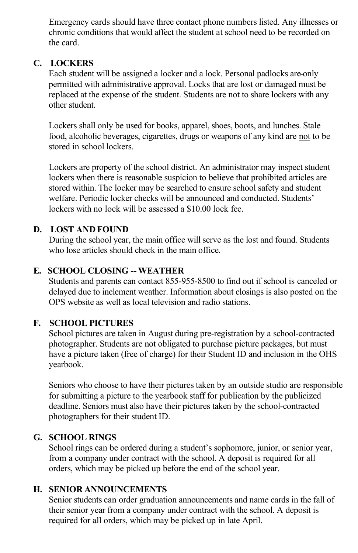Emergency cards should have three contact phone numbers listed. Any illnesses or chronic conditions that would affect the student at school need to be recorded on the card.

#### **C. LOCKERS**

Each student will be assigned a locker and a lock. Personal padlocks are only permitted with administrative approval. Locks that are lost or damaged must be replaced at the expense of the student. Students are not to share lockers with any other student.

Lockers shall only be used for books, apparel, shoes, boots, and lunches. Stale food, alcoholic beverages, cigarettes, drugs or weapons of any kind are not to be stored in school lockers.

Lockers are property of the school district. An administrator may inspect student lockers when there is reasonable suspicion to believe that prohibited articles are stored within. The locker may be searched to ensure school safety and student welfare. Periodic locker checks will be announced and conducted. Students' lockers with no lock will be assessed a \$10.00 lock fee.

#### **D. LOST AND FOUND**

During the school year, the main office will serve as the lost and found. Students who lose articles should check in the main office.

#### **E. SCHOOL CLOSING -- WEATHER**

Students and parents can contact 855-955-8500 to find out if school is canceled or delayed due to inclement weather. Information about closings is also posted on the OPS website as well as local television and radio stations.

#### **F. SCHOOL PICTURES**

School pictures are taken in August during pre-registration by a school-contracted photographer. Students are not obligated to purchase picture packages, but must have a picture taken (free of charge) for their Student ID and inclusion in the OHS yearbook.

Seniors who choose to have their pictures taken by an outside studio are responsible for submitting a picture to the yearbook staff for publication by the publicized deadline. Seniors must also have their pictures taken by the school-contracted photographers for their student ID.

#### **G. SCHOOL RINGS**

School rings can be ordered during a student's sophomore, junior, or senior year, from a company under contract with the school. A deposit is required for all orders, which may be picked up before the end of the school year.

#### **H. SENIOR ANNOUNCEMENTS**

Senior students can order graduation announcements and name cards in the fall of their senior year from a company under contract with the school. A deposit is required for all orders, which may be picked up in late April.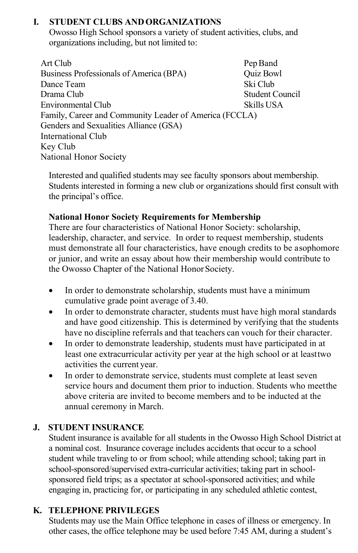# **I. STUDENT CLUBS ANDORGANIZATIONS**

Owosso High School sponsors a variety of student activities, clubs, and organizations including, but not limited to:

Art Club Pep Band Business Professionals of America (BPA) Quiz Bowl Dance Team Ski Club Drama Club Student Council Environmental Club Skills USA Family, Career and Community Leader of America (FCCLA) Genders and Sexualities Alliance (GSA) International Club Key Club National Honor Society

Interested and qualified students may see faculty sponsors about membership. Students interested in forming a new club or organizations should first consult with the principal's office.

#### **National Honor Society Requirements for Membership**

There are four characteristics of National Honor Society: scholarship, leadership, character, and service. In order to request membership, students must demonstrate all four characteristics, have enough credits to be asophomore or junior, and write an essay about how their membership would contribute to the Owosso Chapter of the National Honor Society.

- In order to demonstrate scholarship, students must have a minimum cumulative grade point average of 3.40.
- In order to demonstrate character, students must have high moral standards and have good citizenship. This is determined by verifying that the students have no discipline referrals and that teachers can vouch for their character.
- In order to demonstrate leadership, students must have participated in at least one extracurricular activity per year at the high school or at leasttwo activities the current year.
- In order to demonstrate service, students must complete at least seven service hours and document them prior to induction. Students who meetthe above criteria are invited to become members and to be inducted at the annual ceremony in March.

### **J. STUDENT INSURANCE**

Student insurance is available for all students in the Owosso High School District at a nominal cost. Insurance coverage includes accidents that occur to a school student while traveling to or from school; while attending school; taking part in school-sponsored/supervised extra-curricular activities; taking part in schoolsponsored field trips; as a spectator at school-sponsored activities; and while engaging in, practicing for, or participating in any scheduled athletic contest,

# **K. TELEPHONE PRIVILEGES**

Students may use the Main Office telephone in cases of illness or emergency. In other cases, the office telephone may be used before 7:45 AM, during a student's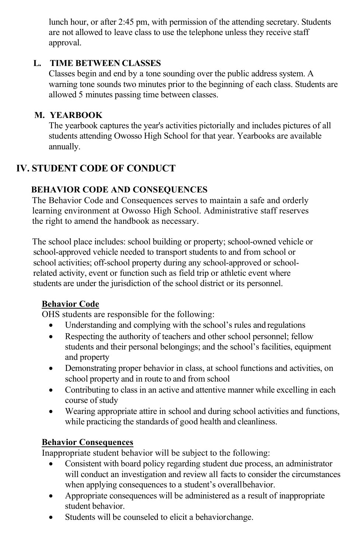lunch hour, or after 2:45 pm, with permission of the attending secretary. Students are not allowed to leave class to use the telephone unless they receive staff approval.

# **L. TIME BETWEEN CLASSES**

Classes begin and end by a tone sounding over the public address system. A warning tone sounds two minutes prior to the beginning of each class. Students are allowed 5 minutes passing time between classes.

# **M. YEARBOOK**

The yearbook captures the year's activities pictorially and includes pictures of all students attending Owosso High School for that year. Yearbooks are available annually.

# **IV. STUDENT CODE OF CONDUCT**

# **BEHAVIOR CODE AND CONSEQUENCES**

The Behavior Code and Consequences serves to maintain a safe and orderly learning environment at Owosso High School. Administrative staff reserves the right to amend the handbook as necessary.

The school place includes: school building or property; school-owned vehicle or school-approved vehicle needed to transport students to and from school or school activities; off-school property during any school-approved or schoolrelated activity, event or function such as field trip or athletic event where students are under the jurisdiction of the school district or its personnel.

# **Behavior Code**

OHS students are responsible for the following:

- Understanding and complying with the school's rules and regulations
- Respecting the authority of teachers and other school personnel; fellow students and their personal belongings; and the school's facilities, equipment and property
- Demonstrating proper behavior in class, at school functions and activities, on school property and in route to and from school
- Contributing to class in an active and attentive manner while excelling in each course of study
- Wearing appropriate attire in school and during school activities and functions, while practicing the standards of good health and cleanliness.

# **Behavior Consequences**

Inappropriate student behavior will be subject to the following:

- Consistent with board policy regarding student due process, an administrator will conduct an investigation and review all facts to consider the circumstances when applying consequences to a student's overallbehavior.
- Appropriate consequences will be administered as a result of inappropriate student behavior.
- Students will be counseled to elicit a behaviorchange.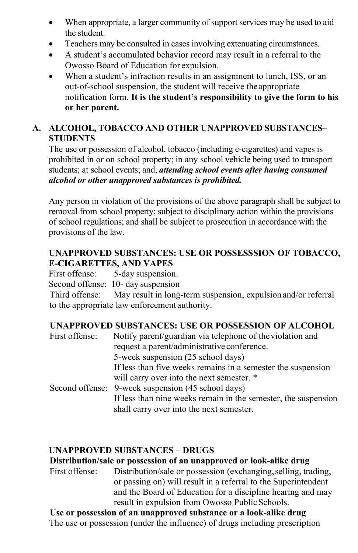- When appropriate, a larger community of support services may be used to aid the student.
- Teachers may be consulted in cases involving extenuating circumstances.
- A student's accumulated behavior record may result in a referral to the Owosso Board of Education for expulsion.
- When a student's infraction results in an assignment to lunch, ISS, or an out-of-school suspension, the student will receive theappropriate notification form. **It is the student's responsibility to give the form to his or her parent.**

# **A. ALCOHOL, TOBACCO AND OTHER UNAPPROVED SUBSTANCES– STUDENTS**

The use or possession of alcohol, tobacco (including e-cigarettes) and vapes is prohibited in or on school property; in any school vehicle being used to transport students; at school events; and, *attending school events after having consumed alcohol or other unapproved substances is prohibited.*

Any person in violation of the provisions of the above paragraph shall be subject to removal from school property; subject to disciplinary action within the provisions of school regulations; and shall be subject to prosecution in accordance with the provisions of the law.

#### **UNAPPROVED SUBSTANCES: USE OR POSSESSSION OF TOBACCO, E-CIGARETTES, AND VAPES**

First offense: 5-day suspension.

Second offense: 10- day suspension

Third offense: May result in long-term suspension, expulsion and/or referral to the appropriate law enforcement authority.

# **UNAPPROVED SUBSTANCES: USE OR POSSESSION OF ALCOHOL**

| First offense: | Notify parent/guardian via telephone of the violation and<br>request a parent/administrative conference.   |
|----------------|------------------------------------------------------------------------------------------------------------|
|                | 5-week suspension (25 school days)                                                                         |
|                | If less than five weeks remains in a semester the suspension                                               |
|                | will carry over into the next semester. *                                                                  |
|                | Second offense: 9-week suspension (45 school days)                                                         |
|                | If less than nine weeks remain in the semester, the suspension<br>shall carry over into the next semester. |

### **UNAPPROVED SUBSTANCES – DRUGS**

**Distribution/sale or possession of an unapproved or look-alike drug**

First offense: Distribution/sale or possession (exchanging, selling, trading, or passing on) will result in a referral to the Superintendent and the Board of Education for a discipline hearing and may result in expulsion from Owosso Public Schools.

**Use or possession of an unapproved substance or a look-alike drug** The use or possession (under the influence) of drugs including prescription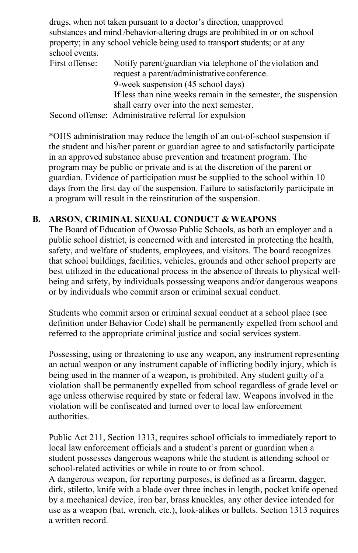drugs, when not taken pursuant to a doctor's direction, unapproved substances and mind /behavior-altering drugs are prohibited in or on school property; in any school vehicle being used to transport students; or at any school events.

| First offense: | Notify parent/guardian via telephone of the violation and      |
|----------------|----------------------------------------------------------------|
|                | request a parent/administrative conference.                    |
|                | 9-week suspension (45 school days)                             |
|                | If less than nine weeks remain in the semester, the suspension |
|                | shall carry over into the next semester.                       |
|                | Second offense: Administrative referral for expulsion          |

\*OHS administration may reduce the length of an out-of-school suspension if the student and his/her parent or guardian agree to and satisfactorily participate in an approved substance abuse prevention and treatment program. The program may be public or private and is at the discretion of the parent or guardian. Evidence of participation must be supplied to the school within 10 days from the first day of the suspension. Failure to satisfactorily participate in a program will result in the reinstitution of the suspension.

#### **B. ARSON, CRIMINAL SEXUAL CONDUCT & WEAPONS**

The Board of Education of Owosso Public Schools, as both an employer and a public school district, is concerned with and interested in protecting the health, safety, and welfare of students, employees, and visitors. The board recognizes that school buildings, facilities, vehicles, grounds and other school property are best utilized in the educational process in the absence of threats to physical wellbeing and safety, by individuals possessing weapons and/or dangerous weapons or by individuals who commit arson or criminal sexual conduct.

Students who commit arson or criminal sexual conduct at a school place (see definition under Behavior Code) shall be permanently expelled from school and referred to the appropriate criminal justice and social services system.

Possessing, using or threatening to use any weapon, any instrument representing an actual weapon or any instrument capable of inflicting bodily injury, which is being used in the manner of a weapon, is prohibited. Any student guilty of a violation shall be permanently expelled from school regardless of grade level or age unless otherwise required by state or federal law. Weapons involved in the violation will be confiscated and turned over to local law enforcement authorities.

Public Act 211, Section 1313, requires school officials to immediately report to local law enforcement officials and a student's parent or guardian when a student possesses dangerous weapons while the student is attending school or school-related activities or while in route to or from school. A dangerous weapon, for reporting purposes, is defined as a firearm, dagger,

dirk, stiletto, knife with a blade over three inches in length, pocket knife opened by a mechanical device, iron bar, brass knuckles, any other device intended for use as a weapon (bat, wrench, etc.), look-alikes or bullets. Section 1313 requires a written record.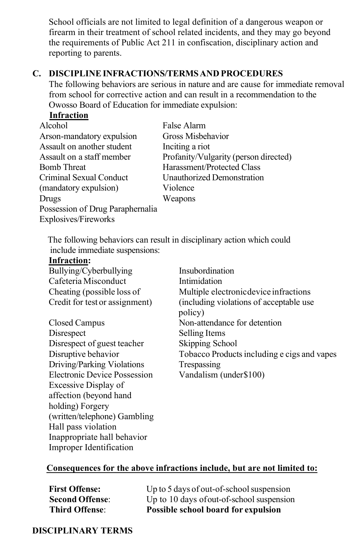School officials are not limited to legal definition of a dangerous weapon or firearm in their treatment of school related incidents, and they may go beyond the requirements of Public Act 211 in confiscation, disciplinary action and reporting to parents.

#### **C. DISCIPLINEINFRACTIONS/TERMSAND PROCEDURES**

The following behaviors are serious in nature and are cause for immediate removal from school for corrective action and can result in a recommendation to the Owosso Board of Education for immediate expulsion:

|--|

| Alcohol                          | False Alarm                           |
|----------------------------------|---------------------------------------|
| Arson-mandatory expulsion        | Gross Misbehavior                     |
| Assault on another student       | Inciting a riot                       |
| Assault on a staff member        | Profanity/Vulgarity (person directed) |
| Bomb Threat                      | Harassment/Protected Class            |
| Criminal Sexual Conduct          | Unauthorized Demonstration            |
| (mandatory expulsion)            | Violence                              |
| Drugs                            | Weapons                               |
| Possession of Drug Paraphernalia |                                       |
| <b>Explosives/Fireworks</b>      |                                       |

The following behaviors can result in disciplinary action which could include immediate suspensions:

#### **Infraction:**

| Bullying/Cyberbullying         | Insubordination                                     |
|--------------------------------|-----------------------------------------------------|
| Cafeteria Misconduct           | Intimidation                                        |
| Cheating (possible loss of     | Multiple electronic device infractions              |
| Credit for test or assignment) | (including violations of acceptable use)<br>policy) |
| Closed Campus                  | Non-attendance for detention                        |
| Disrespect                     | Selling Items                                       |
| Disrespect of guest teacher    | Skipping School                                     |
| Disruptive behavior            | Tobacco Products including e cigs and vapes         |
| Driving/Parking Violations     | Trespassing                                         |
| Electronic Device Possession   | Vandalism (under\$100)                              |
| Excessive Display of           |                                                     |
| affection (beyond hand         |                                                     |

**Consequences for the above infractions include, but are not limited to:**

**First Offense:** Up to 5 days of out-of-school suspension **Second Offense:** Up to 10 days of out-of-school suspension **Third Offense**: **Possible school board for expulsion**

#### **DISCIPLINARY TERMS**

holding) Forgery

Hall pass violation

(written/telephone) Gambling

Inappropriate hall behavior Improper Identification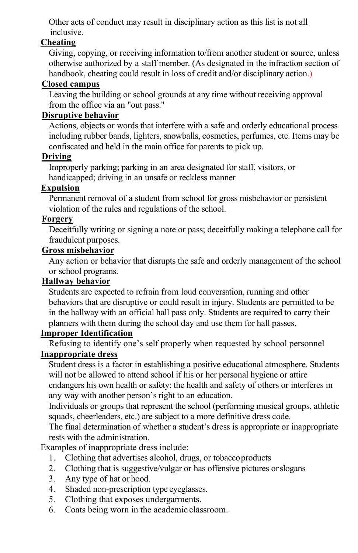Other acts of conduct may result in disciplinary action as this list is not all inclusive.

#### **Cheating**

Giving, copying, or receiving information to/from another student or source, unless otherwise authorized by a staff member. (As designated in the infraction section of handbook, cheating could result in loss of credit and/or disciplinary action.)

#### **Closed campus**

Leaving the building or school grounds at any time without receiving approval from the office via an "out pass."

#### **Disruptive behavior**

Actions, objects or words that interfere with a safe and orderly educational process including rubber bands, lighters, snowballs, cosmetics, perfumes, etc. Items may be confiscated and held in the main office for parents to pick up.

#### **Driving**

Improperly parking; parking in an area designated for staff, visitors, or handicapped; driving in an unsafe or reckless manner

#### **Expulsion**

Permanent removal of a student from school for gross misbehavior or persistent violation of the rules and regulations of the school.

#### **Forgery**

Deceitfully writing or signing a note or pass; deceitfully making a telephone call for fraudulent purposes.

#### **Gross misbehavior**

Any action or behavior that disrupts the safe and orderly management of the school or school programs.

#### **Hallway behavior**

Students are expected to refrain from loud conversation, running and other behaviors that are disruptive or could result in injury. Students are permitted to be in the hallway with an official hall pass only. Students are required to carry their planners with them during the school day and use them for hall passes.

#### **Improper Identification**

Refusing to identify one's self properly when requested by school personnel

#### **Inappropriate dress**

Student dress is a factor in establishing a positive educational atmosphere. Students will not be allowed to attend school if his or her personal hygiene or attire endangers his own health or safety; the health and safety of others or interferes in any way with another person's right to an education.

Individuals or groups that represent the school (performing musical groups, athletic squads, cheerleaders, etc.) are subject to a more definitive dress code.

The final determination of whether a student's dress is appropriate or inappropriate rests with the administration.

Examples of inappropriate dress include:

- 1. Clothing that advertises alcohol, drugs, or tobaccoproducts
- 2. Clothing that is suggestive/vulgar or has offensive pictures orslogans
- 3. Any type of hat or hood.
- 4. Shaded non-prescription type eyeglasses.
- 5. Clothing that exposes undergarments.
- 6. Coats being worn in the academic classroom.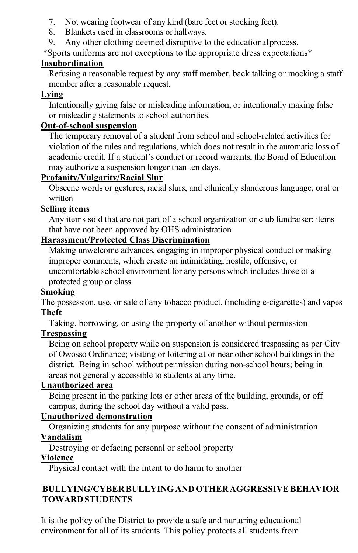- 7. Not wearing footwear of any kind (bare feet or stocking feet).
- 8. Blankets used in classrooms or hallways.
- 9. Any other clothing deemed disruptive to the educationalprocess.

\*Sports uniforms are not exceptions to the appropriate dress expectations\*

# **Insubordination**

Refusing a reasonable request by any staff member, back talking or mocking a staff member after a reasonable request.

# **Lying**

Intentionally giving false or misleading information, or intentionally making false or misleading statements to school authorities.

# **Out-of-school suspension**

The temporary removal of a student from school and school-related activities for violation of the rules and regulations, which does not result in the automatic loss of academic credit. If a student's conduct or record warrants, the Board of Education may authorize a suspension longer than ten days.

# **Profanity/Vulgarity/Racial Slur**

Obscene words or gestures, racial slurs, and ethnically slanderous language, oral or written

# **Selling items**

Any items sold that are not part of a school organization or club fundraiser; items that have not been approved by OHS administration

# **Harassment/Protected Class Discrimination**

Making unwelcome advances, engaging in improper physical conduct or making improper comments, which create an intimidating, hostile, offensive, or uncomfortable school environment for any persons which includes those of a protected group or class.

### **Smoking**

The possession, use, or sale of any tobacco product, (including e-cigarettes) and vapes **Theft**

Taking, borrowing, or using the property of another without permission

# **Trespassing**

Being on school property while on suspension is considered trespassing as per City of Owosso Ordinance; visiting or loitering at or near other school buildings in the district. Being in school without permission during non-school hours; being in areas not generally accessible to students at any time.

### **Unauthorized area**

Being present in the parking lots or other areas of the building, grounds, or off campus, during the school day without a valid pass.

# **Unauthorized demonstration**

Organizing students for any purpose without the consent of administration **Vandalism**

Destroying or defacing personal or school property

### **Violence**

Physical contact with the intent to do harm to another

# **BULLYING/CYBER BULLYINGANDOTHERAGGRESSIVEBEHAVIOR TOWARDSTUDENTS**

It is the policy of the District to provide a safe and nurturing educational environment for all of its students. This policy protects all students from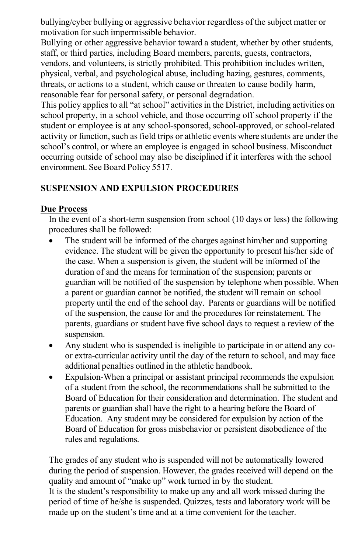bullying/cyber bullying or aggressive behavior regardless of the subject matter or motivation for such impermissible behavior.

Bullying or other aggressive behavior toward a student, whether by other students, staff, or third parties, including Board members, parents, guests, contractors, vendors, and volunteers, is strictly prohibited. This prohibition includes written, physical, verbal, and psychological abuse, including hazing, gestures, comments, threats, or actions to a student, which cause or threaten to cause bodily harm, reasonable fear for personal safety, or personal degradation.

This policy applies to all "at school" activities in the District, including activities on school property, in a school vehicle, and those occurring off school property if the student or employee is at any school-sponsored, school-approved, or school-related activity or function, such as field trips or athletic events where students are under the school's control, or where an employee is engaged in school business. Misconduct occurring outside of school may also be disciplined if it interferes with the school environment. See Board Policy 5517.

#### **SUSPENSION AND EXPULSION PROCEDURES**

#### **Due Process**

In the event of a short-term suspension from school (10 days or less) the following procedures shall be followed:

- The student will be informed of the charges against him/her and supporting evidence. The student will be given the opportunity to present his/her side of the case. When a suspension is given, the student will be informed of the duration of and the means for termination of the suspension; parents or guardian will be notified of the suspension by telephone when possible. When a parent or guardian cannot be notified, the student will remain on school property until the end of the school day. Parents or guardians will be notified of the suspension, the cause for and the procedures for reinstatement. The parents, guardians or student have five school days to request a review of the suspension.
- Any student who is suspended is ineligible to participate in or attend any coor extra-curricular activity until the day of the return to school, and may face additional penalties outlined in the athletic handbook.
- Expulsion-When a principal or assistant principal recommends the expulsion of a student from the school, the recommendations shall be submitted to the Board of Education for their consideration and determination. The student and parents or guardian shall have the right to a hearing before the Board of Education. Any student may be considered for expulsion by action of the Board of Education for gross misbehavior or persistent disobedience of the rules and regulations.

The grades of any student who is suspended will not be automatically lowered during the period of suspension. However, the grades received will depend on the quality and amount of "make up" work turned in by the student. It is the student's responsibility to make up any and all work missed during the period of time of he/she is suspended. Quizzes, tests and laboratory work will be made up on the student's time and at a time convenient for the teacher.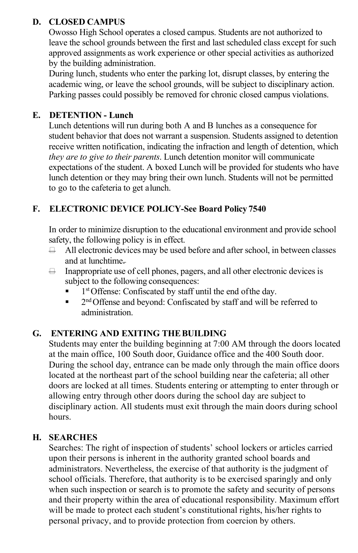### **D. CLOSED CAMPUS**

Owosso High School operates a closed campus. Students are not authorized to leave the school grounds between the first and last scheduled class except for such approved assignments as work experience or other special activities as authorized by the building administration.

During lunch, students who enter the parking lot, disrupt classes, by entering the academic wing, or leave the school grounds, will be subject to disciplinary action. Parking passes could possibly be removed for chronic closed campus violations.

### **E. DETENTION - Lunch**

Lunch detentions will run during both A and B lunches as a consequence for student behavior that does not warrant a suspension. Students assigned to detention receive written notification, indicating the infraction and length of detention, which *they are to give to their parents*. Lunch detention monitor will communicate expectations of the student. A boxed Lunch will be provided for students who have lunch detention or they may bring their own lunch. Students will not be permitted to go to the cafeteria to get alunch.

# **F. ELECTRONIC DEVICE POLICY-See Board Policy 7540**

In order to minimize disruption to the educational environment and provide school safety, the following policy is in effect.

- $\overline{\Box}$  All electronic devices may be used before and after school, in between classes and at lunchtime.
- $\Box$  Inappropriate use of cell phones, pagers, and all other electronic devices is subject to the following consequences:
	- 1<sup>st</sup> Offense: Confiscated by staff until the end of the day.
	- $\blacksquare$  2<sup>nd</sup> Offense and beyond: Confiscated by staff and will be referred to administration.

### **G. ENTERING AND EXITING THEBUILDING**

Students may enter the building beginning at 7:00 AM through the doors located at the main office, 100 South door, Guidance office and the 400 South door. During the school day, entrance can be made only through the main office doors located at the northeast part of the school building near the cafeteria; all other doors are locked at all times. Students entering or attempting to enter through or allowing entry through other doors during the school day are subject to disciplinary action. All students must exit through the main doors during school hours.

### **H. SEARCHES**

Searches: The right of inspection of students' school lockers or articles carried upon their persons is inherent in the authority granted school boards and administrators. Nevertheless, the exercise of that authority is the judgment of school officials. Therefore, that authority is to be exercised sparingly and only when such inspection or search is to promote the safety and security of persons and their property within the area of educational responsibility. Maximum effort will be made to protect each student's constitutional rights, his/her rights to personal privacy, and to provide protection from coercion by others.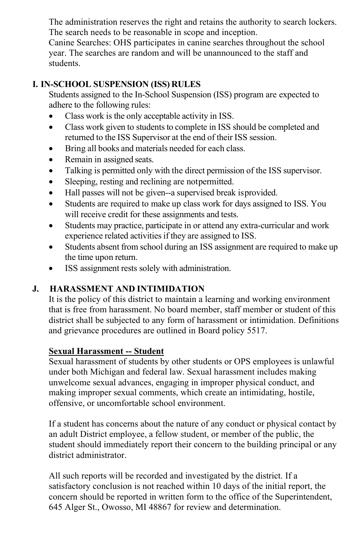The administration reserves the right and retains the authority to search lockers. The search needs to be reasonable in scope and inception.

Canine Searches: OHS participates in canine searches throughout the school year. The searches are random and will be unannounced to the staff and students.

### **I. IN-SCHOOL SUSPENSION (ISS) RULES**

Students assigned to the In-School Suspension (ISS) program are expected to adhere to the following rules:

- Class work is the only acceptable activity in ISS.
- Class work given to students to complete in ISS should be completed and returned to the ISS Supervisor at the end of their ISS session.
- Bring all books and materials needed for each class.
- Remain in assigned seats.
- Talking is permitted only with the direct permission of the ISS supervisor.
- Sleeping, resting and reclining are notpermitted.
- Hall passes will not be given--a supervised break isprovided.
- Students are required to make up class work for days assigned to ISS. You will receive credit for these assignments and tests.
- Students may practice, participate in or attend any extra-curricular and work experience related activities if they are assigned to ISS.
- Students absent from school during an ISS assignment are required to make up the time upon return.
- ISS assignment rests solely with administration.

# **J. HARASSMENT AND INTIMIDATION**

It is the policy of this district to maintain a learning and working environment that is free from harassment. No board member, staff member or student of this district shall be subjected to any form of harassment or intimidation. Definitions and grievance procedures are outlined in Board policy 5517.

#### **Sexual Harassment -- Student**

Sexual harassment of students by other students or OPS employees is unlawful under both Michigan and federal law. Sexual harassment includes making unwelcome sexual advances, engaging in improper physical conduct, and making improper sexual comments, which create an intimidating, hostile, offensive, or uncomfortable school environment.

If a student has concerns about the nature of any conduct or physical contact by an adult District employee, a fellow student, or member of the public, the student should immediately report their concern to the building principal or any district administrator.

All such reports will be recorded and investigated by the district. If a satisfactory conclusion is not reached within 10 days of the initial report, the concern should be reported in written form to the office of the Superintendent, 645 Alger St., Owosso, MI 48867 for review and determination.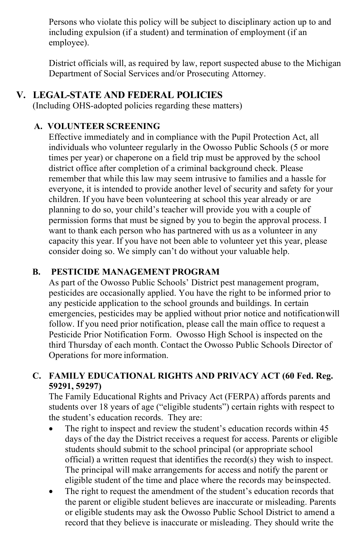Persons who violate this policy will be subject to disciplinary action up to and including expulsion (if a student) and termination of employment (if an employee).

District officials will, as required by law, report suspected abuse to the Michigan Department of Social Services and/or Prosecuting Attorney.

# **V. LEGAL-STATE AND FEDERAL POLICIES**

(Including OHS-adopted policies regarding these matters)

# **A. VOLUNTEER SCREENING**

Effective immediately and in compliance with the Pupil Protection Act, all individuals who volunteer regularly in the Owosso Public Schools (5 or more times per year) or chaperone on a field trip must be approved by the school district office after completion of a criminal background check. Please remember that while this law may seem intrusive to families and a hassle for everyone, it is intended to provide another level of security and safety for your children. If you have been volunteering at school this year already or are planning to do so, your child's teacher will provide you with a couple of permission forms that must be signed by you to begin the approval process. I want to thank each person who has partnered with us as a volunteer in any capacity this year. If you have not been able to volunteer yet this year, please consider doing so. We simply can't do without your valuable help.

### **B. PESTICIDE MANAGEMENT PROGRAM**

As part of the Owosso Public Schools' District pest management program, pesticides are occasionally applied. You have the right to be informed prior to any pesticide application to the school grounds and buildings. In certain emergencies, pesticides may be applied without prior notice and notificationwill follow. If you need prior notification, please call the main office to request a Pesticide Prior Notification Form. Owosso High School is inspected on the third Thursday of each month. Contact the Owosso Public Schools Director of Operations for more information.

#### **C. FAMILY EDUCATIONAL RIGHTS AND PRIVACY ACT (60 Fed. Reg. 59291, 59297)**

The Family Educational Rights and Privacy Act (FERPA) affords parents and students over 18 years of age ("eligible students") certain rights with respect to the student's education records. They are:

- The right to inspect and review the student's education records within 45 days of the day the District receives a request for access. Parents or eligible students should submit to the school principal (or appropriate school official) a written request that identifies the record(s) they wish to inspect. The principal will make arrangements for access and notify the parent or eligible student of the time and place where the records may beinspected.
- The right to request the amendment of the student's education records that the parent or eligible student believes are inaccurate or misleading. Parents or eligible students may ask the Owosso Public School District to amend a record that they believe is inaccurate or misleading. They should write the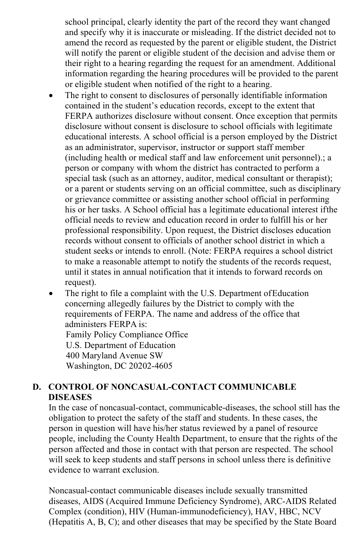school principal, clearly identity the part of the record they want changed and specify why it is inaccurate or misleading. If the district decided not to amend the record as requested by the parent or eligible student, the District will notify the parent or eligible student of the decision and advise them or their right to a hearing regarding the request for an amendment. Additional information regarding the hearing procedures will be provided to the parent or eligible student when notified of the right to a hearing.

- The right to consent to disclosures of personally identifiable information contained in the student's education records, except to the extent that FERPA authorizes disclosure without consent. Once exception that permits disclosure without consent is disclosure to school officials with legitimate educational interests. A school official is a person employed by the District as an administrator, supervisor, instructor or support staff member (including health or medical staff and law enforcement unit personnel).; a person or company with whom the district has contracted to perform a special task (such as an attorney, auditor, medical consultant or therapist); or a parent or students serving on an official committee, such as disciplinary or grievance committee or assisting another school official in performing his or her tasks. A School official has a legitimate educational interest ifthe official needs to review and education record in order to fulfill his or her professional responsibility. Upon request, the District discloses education records without consent to officials of another school district in which a student seeks or intends to enroll. (Note: FERPA requires a school district to make a reasonable attempt to notify the students of the records request, until it states in annual notification that it intends to forward records on request).
- The right to file a complaint with the U.S. Department of Education concerning allegedly failures by the District to comply with the requirements of FERPA. The name and address of the office that administers FERPA is: Family Policy Compliance Office U.S. Department of Education 400 Maryland Avenue SW Washington, DC 20202-4605

#### **D. CONTROL OF NONCASUAL-CONTACT COMMUNICABLE DISEASES**

In the case of noncasual-contact, communicable-diseases, the school still has the obligation to protect the safety of the staff and students. In these cases, the person in question will have his/her status reviewed by a panel of resource people, including the County Health Department, to ensure that the rights of the person affected and those in contact with that person are respected. The school will seek to keep students and staff persons in school unless there is definitive evidence to warrant exclusion.

Noncasual-contact communicable diseases include sexually transmitted diseases, AIDS (Acquired Immune Deficiency Syndrome), ARC-AIDS Related Complex (condition), HIV (Human-immunodeficiency), HAV, HBC, NCV (Hepatitis A, B, C); and other diseases that may be specified by the State Board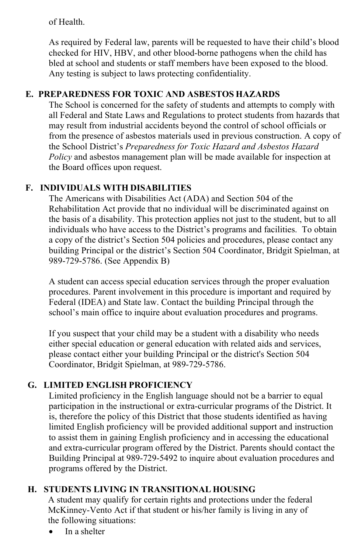#### of Health.

As required by Federal law, parents will be requested to have their child's blood checked for HIV, HBV, and other blood-borne pathogens when the child has bled at school and students or staff members have been exposed to the blood. Any testing is subject to laws protecting confidentiality.

### **E. PREPAREDNESS FOR TOXIC AND ASBESTOS HAZARDS**

The School is concerned for the safety of students and attempts to comply with all Federal and State Laws and Regulations to protect students from hazards that may result from industrial accidents beyond the control of school officials or from the presence of asbestos materials used in previous construction. A copy of the School District's *Preparedness for Toxic Hazard and Asbestos Hazard Policy* and asbestos management plan will be made available for inspection at the Board offices upon request.

### **F. INDIVIDUALS WITH DISABILITIES**

The Americans with Disabilities Act (ADA) and Section 504 of the Rehabilitation Act provide that no individual will be discriminated against on the basis of a disability. This protection applies not just to the student, but to all individuals who have access to the District's programs and facilities. To obtain a copy of the district's Section 504 policies and procedures, please contact any building Principal or the district's Section 504 Coordinator, Bridgit Spielman, at 989-729-5786. (See Appendix B)

A student can access special education services through the proper evaluation procedures. Parent involvement in this procedure is important and required by Federal (IDEA) and State law. Contact the building Principal through the school's main office to inquire about evaluation procedures and programs.

If you suspect that your child may be a student with a disability who needs either special education or general education with related aids and services, please contact either your building Principal or the district's Section 504 Coordinator, Bridgit Spielman, at 989-729-5786.

# **G. LIMITED ENGLISH PROFICIENCY**

Limited proficiency in the English language should not be a barrier to equal participation in the instructional or extra-curricular programs of the District. It is, therefore the policy of this District that those students identified as having limited English proficiency will be provided additional support and instruction to assist them in gaining English proficiency and in accessing the educational and extra-curricular program offered by the District. Parents should contact the Building Principal at 989-729-5492 to inquire about evaluation procedures and programs offered by the District.

### **H. STUDENTS LIVING IN TRANSITIONAL HOUSING**

A student may qualify for certain rights and protections under the federal McKinney-Vento Act if that student or his/her family is living in any of the following situations:

• In a shelter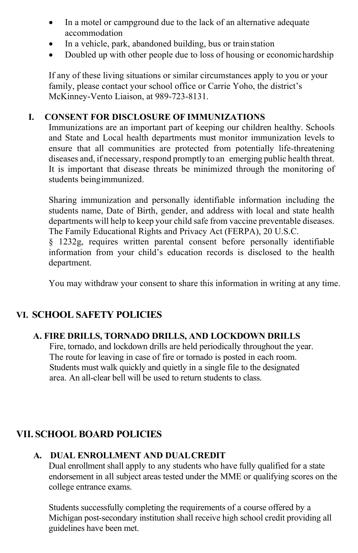- In a motel or campground due to the lack of an alternative adequate accommodation
- In a vehicle, park, abandoned building, bus or train station
- Doubled up with other people due to loss of housing or economic hardship

If any of these living situations or similar circumstances apply to you or your family, please contact your school office or Carrie Yoho, the district's McKinney-Vento Liaison, at 989-723-8131.

#### **I. CONSENT FOR DISCLOSURE OF IMMUNIZATIONS**

Immunizations are an important part of keeping our children healthy. Schools and State and Local health departments must monitor immunization levels to ensure that all communities are protected from potentially life-threatening diseases and, if necessary, respond promptly to an emerging public health threat. It is important that disease threats be minimized through the monitoring of students beingimmunized.

Sharing immunization and personally identifiable information including the students name, Date of Birth, gender, and address with local and state health departments will help to keep your child safe from vaccine preventable diseases. The Family Educational Rights and Privacy Act (FERPA), 20 U.S.C.

§ 1232g, requires written parental consent before personally identifiable information from your child's education records is disclosed to the health department.

You may withdraw your consent to share this information in writing at any time.

### **VI. SCHOOL SAFETY POLICIES**

#### **A. FIRE DRILLS, TORNADO DRILLS, AND LOCKDOWN DRILLS**

Fire, tornado, and lockdown drills are held periodically throughout the year. The route for leaving in case of fire or tornado is posted in each room. Students must walk quickly and quietly in a single file to the designated area. An all-clear bell will be used to return students to class.

### **VII. SCHOOL BOARD POLICIES**

#### **A. DUAL ENROLLMENT AND DUALCREDIT**

Dual enrollment shall apply to any students who have fully qualified for a state endorsement in all subject areas tested under the MME or qualifying scores on the college entrance exams.

Students successfully completing the requirements of a course offered by a Michigan post-secondary institution shall receive high school credit providing all guidelines have been met.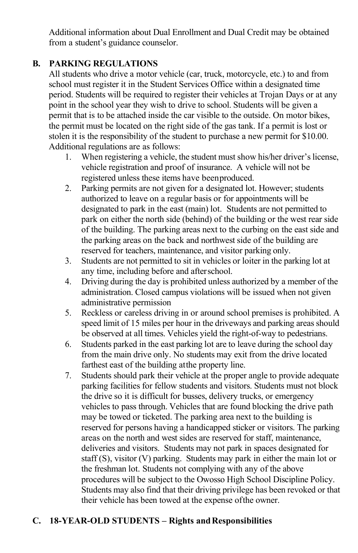Additional information about Dual Enrollment and Dual Credit may be obtained from a student's guidance counselor.

#### **B. PARKING REGULATIONS**

All students who drive a motor vehicle (car, truck, motorcycle, etc.) to and from school must register it in the Student Services Office within a designated time period. Students will be required to register their vehicles at Trojan Days or at any point in the school year they wish to drive to school. Students will be given a permit that is to be attached inside the car visible to the outside. On motor bikes, the permit must be located on the right side of the gas tank. If a permit is lost or stolen it is the responsibility of the student to purchase a new permit for \$10.00. Additional regulations are as follows:

- 1. When registering a vehicle, the student must show his/her driver's license, vehicle registration and proof of insurance. A vehicle will not be registered unless these items have beenproduced.
- 2. Parking permits are not given for a designated lot. However; students authorized to leave on a regular basis or for appointments will be designated to park in the east (main) lot. Students are not permitted to park on either the north side (behind) of the building or the west rear side of the building. The parking areas next to the curbing on the east side and the parking areas on the back and northwest side of the building are reserved for teachers, maintenance, and visitor parking only.
- 3. Students are not permitted to sit in vehicles or loiter in the parking lot at any time, including before and afterschool.
- 4. Driving during the day is prohibited unless authorized by a member of the administration. Closed campus violations will be issued when not given administrative permission
- 5. Reckless or careless driving in or around school premises is prohibited. A speed limit of 15 miles per hour in the driveways and parking areas should be observed at all times. Vehicles yield the right-of-way to pedestrians.
- 6. Students parked in the east parking lot are to leave during the school day from the main drive only. No students may exit from the drive located farthest east of the building atthe property line.
- 7. Students should park their vehicle at the proper angle to provide adequate parking facilities for fellow students and visitors. Students must not block the drive so it is difficult for busses, delivery trucks, or emergency vehicles to pass through. Vehicles that are found blocking the drive path may be towed or ticketed. The parking area next to the building is reserved for persons having a handicapped sticker or visitors. The parking areas on the north and west sides are reserved for staff, maintenance, deliveries and visitors. Students may not park in spaces designated for staff (S), visitor (V) parking. Students may park in either the main lot or the freshman lot. Students not complying with any of the above procedures will be subject to the Owosso High School Discipline Policy. Students may also find that their driving privilege has been revoked or that their vehicle has been towed at the expense ofthe owner.

# **C. 18-YEAR-OLD STUDENTS – Rights andResponsibilities**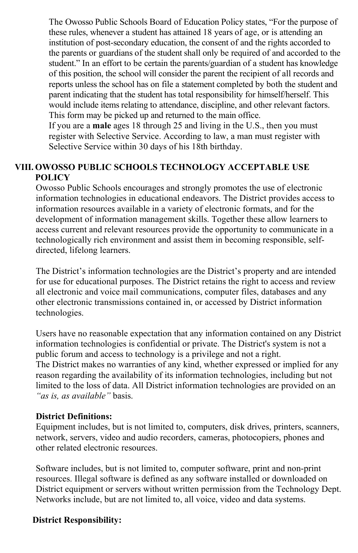The Owosso Public Schools Board of Education Policy states, "For the purpose of these rules, whenever a student has attained 18 years of age, or is attending an institution of post-secondary education, the consent of and the rights accorded to the parents or guardians of the student shall only be required of and accorded to the student." In an effort to be certain the parents/guardian of a student has knowledge of this position, the school will consider the parent the recipient of all records and reports unless the school has on file a statement completed by both the student and parent indicating that the student has total responsibility for himself/herself. This would include items relating to attendance, discipline, and other relevant factors. This form may be picked up and returned to the main office.

If you are a **male** ages 18 through 25 and living in the U.S., then you must register with Selective Service. According to law, a man must register with Selective Service within 30 days of his 18th birthday.

#### **VIII. OWOSSO PUBLIC SCHOOLS TECHNOLOGY ACCEPTABLE USE POLICY**

Owosso Public Schools encourages and strongly promotes the use of electronic information technologies in educational endeavors. The District provides access to information resources available in a variety of electronic formats, and for the development of information management skills. Together these allow learners to access current and relevant resources provide the opportunity to communicate in a technologically rich environment and assist them in becoming responsible, selfdirected, lifelong learners.

The District's information technologies are the District's property and are intended for use for educational purposes. The District retains the right to access and review all electronic and voice mail communications, computer files, databases and any other electronic transmissions contained in, or accessed by District information technologies.

Users have no reasonable expectation that any information contained on any District information technologies is confidential or private. The District's system is not a public forum and access to technology is a privilege and not a right. The District makes no warranties of any kind, whether expressed or implied for any reason regarding the availability of its information technologies, including but not limited to the loss of data. All District information technologies are provided on an *"as is, as available"* basis.

#### **District Definitions:**

Equipment includes, but is not limited to, computers, disk drives, printers, scanners, network, servers, video and audio recorders, cameras, photocopiers, phones and other related electronic resources.

Software includes, but is not limited to, computer software, print and non-print resources. Illegal software is defined as any software installed or downloaded on District equipment or servers without written permission from the Technology Dept. Networks include, but are not limited to, all voice, video and data systems.

#### **District Responsibility:**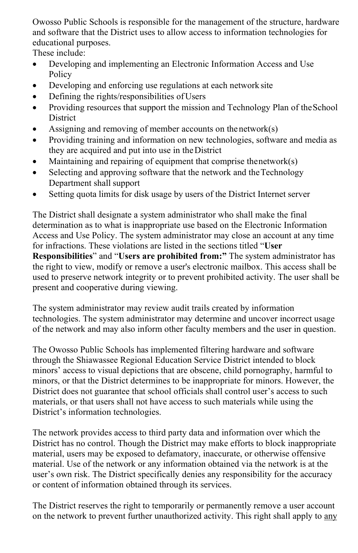Owosso Public Schools is responsible for the management of the structure, hardware and software that the District uses to allow access to information technologies for educational purposes.

These include:

- Developing and implementing an Electronic Information Access and Use **Policy**
- Developing and enforcing use regulations at each network site
- Defining the rights/responsibilities of Users
- Providing resources that support the mission and Technology Plan of the School **District**
- Assigning and removing of member accounts on the network(s)
- Providing training and information on new technologies, software and media as they are acquired and put into use in theDistrict
- Maintaining and repairing of equipment that comprise thenetwork $(s)$
- Selecting and approving software that the network and the Technology Department shall support
- Setting quota limits for disk usage by users of the District Internet server

The District shall designate a system administrator who shall make the final determination as to what is inappropriate use based on the Electronic Information Access and Use Policy. The system administrator may close an account at any time for infractions. These violations are listed in the sections titled "**User Responsibilities**" and "**Users are prohibited from:"** The system administrator has the right to view, modify or remove a user's electronic mailbox. This access shall be used to preserve network integrity or to prevent prohibited activity. The user shall be present and cooperative during viewing.

The system administrator may review audit trails created by information technologies. The system administrator may determine and uncover incorrect usage of the network and may also inform other faculty members and the user in question.

The Owosso Public Schools has implemented filtering hardware and software through the Shiawassee Regional Education Service District intended to block minors' access to visual depictions that are obscene, child pornography, harmful to minors, or that the District determines to be inappropriate for minors. However, the District does not guarantee that school officials shall control user's access to such materials, or that users shall not have access to such materials while using the District's information technologies.

The network provides access to third party data and information over which the District has no control. Though the District may make efforts to block inappropriate material, users may be exposed to defamatory, inaccurate, or otherwise offensive material. Use of the network or any information obtained via the network is at the user's own risk. The District specifically denies any responsibility for the accuracy or content of information obtained through its services.

The District reserves the right to temporarily or permanently remove a user account on the network to prevent further unauthorized activity. This right shall apply to any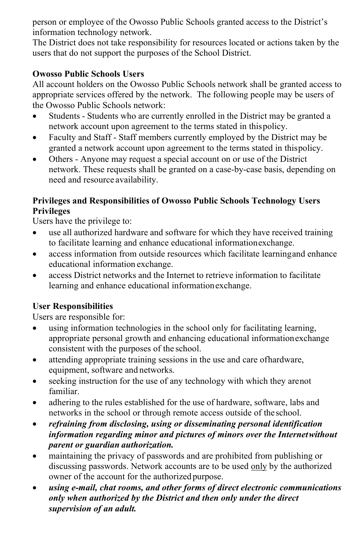person or employee of the Owosso Public Schools granted access to the District's information technology network.

The District does not take responsibility for resources located or actions taken by the users that do not support the purposes of the School District.

#### **Owosso Public Schools Users**

All account holders on the Owosso Public Schools network shall be granted access to appropriate services offered by the network. The following people may be users of the Owosso Public Schools network:

- Students Students who are currently enrolled in the District may be granted a network account upon agreement to the terms stated in thispolicy.
- Faculty and Staff Staff members currently employed by the District may be granted a network account upon agreement to the terms stated in thispolicy.
- Others Anyone may request a special account on or use of the District network. These requests shall be granted on a case-by-case basis, depending on need and resource availability.

#### **Privileges and Responsibilities of Owosso Public Schools Technology Users Privileges**

Users have the privilege to:

- use all authorized hardware and software for which they have received training to facilitate learning and enhance educational informationexchange.
- access information from outside resources which facilitate learning and enhance educational information exchange.
- access District networks and the Internet to retrieve information to facilitate learning and enhance educational informationexchange.

### **User Responsibilities**

Users are responsible for:

- using information technologies in the school only for facilitating learning, appropriate personal growth and enhancing educational informationexchange consistent with the purposes of the school.
- attending appropriate training sessions in the use and care of hardware, equipment, software and networks.
- seeking instruction for the use of any technology with which they arenot familiar.
- adhering to the rules established for the use of hardware, software, labs and networks in the school or through remote access outside of theschool.
- *refraining from disclosing, using or disseminating personal identification information regarding minor and pictures of minors over the Internetwithout parent or guardian authorization.*
- maintaining the privacy of passwords and are prohibited from publishing or discussing passwords. Network accounts are to be used only by the authorized owner of the account for the authorized purpose.
- *using e-mail, chat rooms, and other forms of direct electronic communications only when authorized by the District and then only under the direct supervision of an adult.*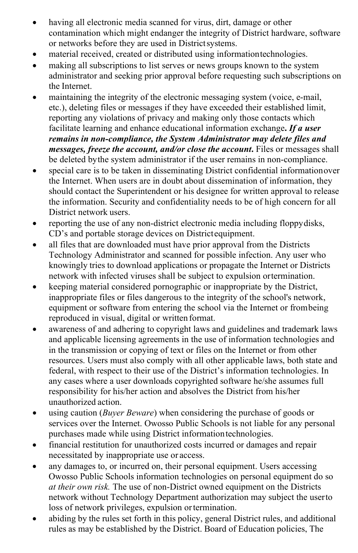- having all electronic media scanned for virus, dirt, damage or other contamination which might endanger the integrity of District hardware, software or networks before they are used in Districtsystems.
- material received, created or distributed using informationtechnologies.
- making all subscriptions to list serves or news groups known to the system administrator and seeking prior approval before requesting such subscriptions on the Internet.
- maintaining the integrity of the electronic messaging system (voice, e-mail, etc.), deleting files or messages if they have exceeded their established limit, reporting any violations of privacy and making only those contacts which facilitate learning and enhance educational information exchange**.** *If a user remains in non-compliance, the System Administrator may delete files and messages, freeze the account, and/or close the account.* Files or messages shall be deleted bythe system administrator if the user remains in non-compliance.
- special care is to be taken in disseminating District confidential informationover the Internet. When users are in doubt about dissemination of information, they should contact the Superintendent or his designee for written approval to release the information. Security and confidentiality needs to be of high concern for all District network users.
- reporting the use of any non-district electronic media including floppydisks, CD's and portable storage devices on Districtequipment.
- all files that are downloaded must have prior approval from the Districts Technology Administrator and scanned for possible infection. Any user who knowingly tries to download applications or propagate the Internet or Districts network with infected viruses shall be subject to expulsion ortermination.
- keeping material considered pornographic or inappropriate by the District, inappropriate files or files dangerous to the integrity of the school's network, equipment or software from entering the school via the Internet or frombeing reproduced in visual, digital or written format.
- awareness of and adhering to copyright laws and guidelines and trademark laws and applicable licensing agreements in the use of information technologies and in the transmission or copying of text or files on the Internet or from other resources. Users must also comply with all other applicable laws, both state and federal, with respect to their use of the District's information technologies. In any cases where a user downloads copyrighted software he/she assumes full responsibility for his/her action and absolves the District from his/her unauthorized action.
- using caution (*Buyer Beware*) when considering the purchase of goods or services over the Internet. Owosso Public Schools is not liable for any personal purchases made while using District informationtechnologies.
- financial restitution for unauthorized costs incurred or damages and repair necessitated by inappropriate use or access.
- any damages to, or incurred on, their personal equipment. Users accessing Owosso Public Schools information technologies on personal equipment do so *at their own risk.* The use of non-District owned equipment on the Districts network without Technology Department authorization may subject the userto loss of network privileges, expulsion ortermination.
- abiding by the rules set forth in this policy, general District rules, and additional rules as may be established by the District. Board of Education policies, The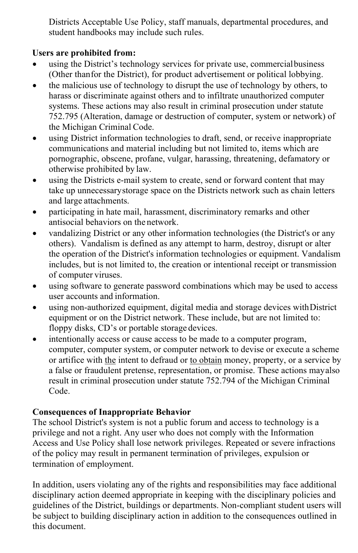Districts Acceptable Use Policy, staff manuals, departmental procedures, and student handbooks may include such rules.

### **Users are prohibited from:**

- using the District's technology services for private use, commercialbusiness (Other thanfor the District), for product advertisement or political lobbying.
- the malicious use of technology to disrupt the use of technology by others, to harass or discriminate against others and to infiltrate unauthorized computer systems. These actions may also result in criminal prosecution under statute 752.795 (Alteration, damage or destruction of computer, system or network) of the Michigan Criminal Code.
- using District information technologies to draft, send, or receive inappropriate communications and material including but not limited to, items which are pornographic, obscene, profane, vulgar, harassing, threatening, defamatory or otherwise prohibited by law.
- using the Districts e-mail system to create, send or forward content that may take up unnecessarystorage space on the Districts network such as chain letters and large attachments.
- participating in hate mail, harassment, discriminatory remarks and other antisocial behaviors on the network.
- vandalizing District or any other information technologies (the District's or any others). Vandalism is defined as any attempt to harm, destroy, disrupt or alter the operation of the District's information technologies or equipment. Vandalism includes, but is not limited to, the creation or intentional receipt or transmission of computer viruses.
- using software to generate password combinations which may be used to access user accounts and information.
- using non-authorized equipment, digital media and storage devices with District equipment or on the District network. These include, but are not limited to: floppy disks, CD's or portable storage devices.
- intentionally access or cause access to be made to a computer program, computer, computer system, or computer network to devise or execute a scheme or artifice with the intent to defraud or to obtain money, property, or a service by a false or fraudulent pretense, representation, or promise. These actions mayalso result in criminal prosecution under statute 752.794 of the Michigan Criminal Code.

# **Consequences of Inappropriate Behavior**

The school District's system is not a public forum and access to technology is a privilege and not a right. Any user who does not comply with the Information Access and Use Policy shall lose network privileges. Repeated or severe infractions of the policy may result in permanent termination of privileges, expulsion or termination of employment.

In addition, users violating any of the rights and responsibilities may face additional disciplinary action deemed appropriate in keeping with the disciplinary policies and guidelines of the District, buildings or departments. Non-compliant student users will be subject to building disciplinary action in addition to the consequences outlined in this document.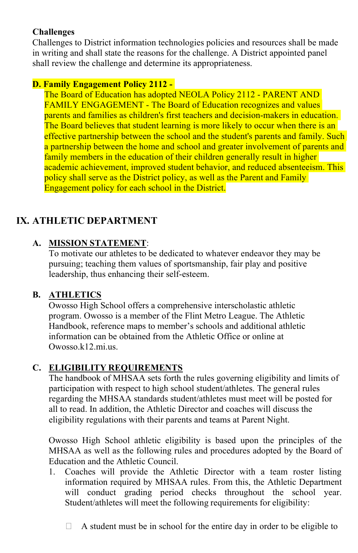#### **Challenges**

Challenges to District information technologies policies and resources shall be made in writing and shall state the reasons for the challenge. A District appointed panel shall review the challenge and determine its appropriateness.

#### **D. Family Engagement Policy 2112 -**

The Board of Education has adopted NEOLA Policy 2112 - PARENT AND FAMILY ENGAGEMENT - The Board of Education recognizes and values parents and families as children's first teachers and decision-makers in education. The Board believes that student learning is more likely to occur when there is an effective partnership between the school and the student's parents and family. Such a partnership between the home and school and greater involvement of parents and family members in the education of their children generally result in higher academic achievement, improved student behavior, and reduced absenteeism. This policy shall serve as the District policy, as well as the Parent and Family Engagement policy for each school in the District.

# **IX. ATHLETIC DEPARTMENT**

# **A. MISSION STATEMENT**:

To motivate our athletes to be dedicated to whatever endeavor they may be pursuing; teaching them values of sportsmanship, fair play and positive leadership, thus enhancing their self-esteem.

### **B. ATHLETICS**

Owosso High School offers a comprehensive interscholastic athletic program. Owosso is a member of the Flint Metro League. The Athletic Handbook, reference maps to member's schools and additional athletic information can be obtained from the Athletic Office or online at Owosso.k12.mi.us.

### **C. ELIGIBILITY REQUIREMENTS**

The handbook of MHSAA sets forth the rules governing eligibility and limits of participation with respect to high school student/athletes. The general rules regarding the MHSAA standards student/athletes must meet will be posted for all to read. In addition, the Athletic Director and coaches will discuss the eligibility regulations with their parents and teams at Parent Night.

Owosso High School athletic eligibility is based upon the principles of the MHSAA as well as the following rules and procedures adopted by the Board of Education and the Athletic Council.

- 1. Coaches will provide the Athletic Director with a team roster listing information required by MHSAA rules. From this, the Athletic Department will conduct grading period checks throughout the school year. Student/athletes will meet the following requirements for eligibility:
	- $\Box$  A student must be in school for the entire day in order to be eligible to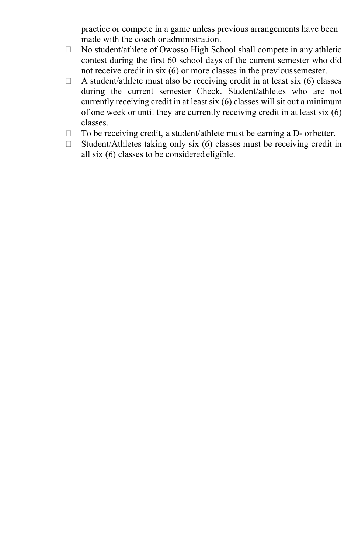practice or compete in a game unless previous arrangements have been made with the coach or administration.

- $\Box$  No student/athlete of Owosso High School shall compete in any athletic contest during the first 60 school days of the current semester who did not receive credit in six (6) or more classes in the previoussemester.
- $\Box$  A student/athlete must also be receiving credit in at least six (6) classes during the current semester Check. Student/athletes who are not currently receiving credit in at least six (6) classes will sit out a minimum of one week or until they are currently receiving credit in at least six (6) classes.
- □ To be receiving credit, a student/athlete must be earning a D- orbetter.
- $\Box$  Student/Athletes taking only six (6) classes must be receiving credit in all six (6) classes to be considered eligible.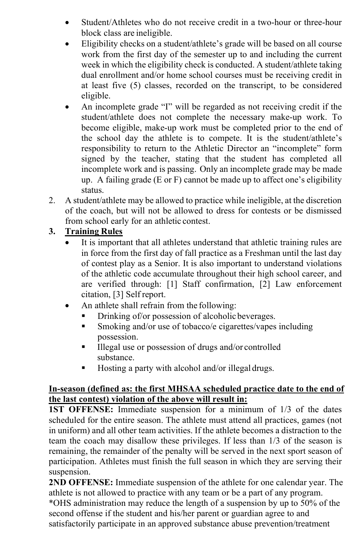- Student/Athletes who do not receive credit in a two-hour or three-hour block class are ineligible.
- Eligibility checks on a student/athlete's grade will be based on all course work from the first day of the semester up to and including the current week in which the eligibility check is conducted. A student/athlete taking dual enrollment and/or home school courses must be receiving credit in at least five (5) classes, recorded on the transcript, to be considered eligible.
- An incomplete grade "I" will be regarded as not receiving credit if the student/athlete does not complete the necessary make-up work. To become eligible, make-up work must be completed prior to the end of the school day the athlete is to compete. It is the student/athlete's responsibility to return to the Athletic Director an "incomplete" form signed by the teacher, stating that the student has completed all incomplete work and is passing. Only an incomplete grade may be made up. A failing grade  $(E \text{ or } F)$  cannot be made up to affect one's eligibility status.
- 2. A student/athlete may be allowed to practice while ineligible, at the discretion of the coach, but will not be allowed to dress for contests or be dismissed from school early for an athletic contest.

# **3. Training Rules**

- It is important that all athletes understand that athletic training rules are in force from the first day of fall practice as a Freshman until the last day of contest play as a Senior. It is also important to understand violations of the athletic code accumulate throughout their high school career, and are verified through: [1] Staff confirmation, [2] Law enforcement citation, [3] Self report.
- An athlete shall refrain from the following:
	- **•** Drinking of/or possession of alcoholic beverages.
	- Smoking and/or use of tobacco/e cigarettes/vapes including possession.
	- Illegal use or possession of drugs and/or controlled substance.
	- Hosting a party with alcohol and/or illegal drugs.

### **In-season (defined as: the first MHSAA scheduled practice date to the end of the last contest) violation of the above will result in:**

**1ST OFFENSE:** Immediate suspension for a minimum of 1/3 of the dates scheduled for the entire season. The athlete must attend all practices, games (not in uniform) and all other team activities. If the athlete becomes a distraction to the team the coach may disallow these privileges. If less than 1/3 of the season is remaining, the remainder of the penalty will be served in the next sport season of participation. Athletes must finish the full season in which they are serving their suspension.

**2ND OFFENSE:** Immediate suspension of the athlete for one calendar year. The athlete is not allowed to practice with any team or be a part of any program.

\*OHS administration may reduce the length of a suspension by up to 50% of the second offense if the student and his/her parent or guardian agree to and satisfactorily participate in an approved substance abuse prevention/treatment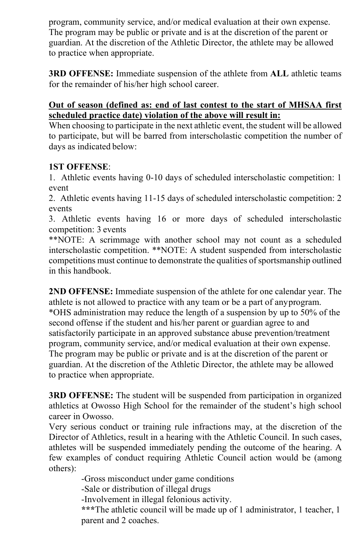program, community service, and/or medical evaluation at their own expense. The program may be public or private and is at the discretion of the parent or guardian. At the discretion of the Athletic Director, the athlete may be allowed to practice when appropriate.

**3RD OFFENSE:** Immediate suspension of the athlete from **ALL** athletic teams for the remainder of his/her high school career.

#### **Out of season (defined as: end of last contest to the start of MHSAA first scheduled practice date) violation of the above will result in:**

When choosing to participate in the next athletic event, the student will be allowed to participate, but will be barred from interscholastic competition the number of days as indicated below:

### **1ST OFFENSE**:

1. Athletic events having 0-10 days of scheduled interscholastic competition: 1 event

2. Athletic events having 11-15 days of scheduled interscholastic competition: 2 events

3. Athletic events having 16 or more days of scheduled interscholastic competition: 3 events

\*\*NOTE: A scrimmage with another school may not count as a scheduled interscholastic competition. \*\*NOTE: A student suspended from interscholastic competitions must continue to demonstrate the qualities of sportsmanship outlined in this handbook.

**2ND OFFENSE:** Immediate suspension of the athlete for one calendar year. The athlete is not allowed to practice with any team or be a part of anyprogram. \*OHS administration may reduce the length of a suspension by up to 50% of the second offense if the student and his/her parent or guardian agree to and satisfactorily participate in an approved substance abuse prevention/treatment program, community service, and/or medical evaluation at their own expense. The program may be public or private and is at the discretion of the parent or guardian. At the discretion of the Athletic Director, the athlete may be allowed to practice when appropriate.

**3RD OFFENSE:** The student will be suspended from participation in organized athletics at Owosso High School for the remainder of the student's high school career in Owosso.

Very serious conduct or training rule infractions may, at the discretion of the Director of Athletics, result in a hearing with the Athletic Council. In such cases, athletes will be suspended immediately pending the outcome of the hearing. A few examples of conduct requiring Athletic Council action would be (among others):

-Gross misconduct under game conditions

-Sale or distribution of illegal drugs

-Involvement in illegal felonious activity.

**\*\*\***The athletic council will be made up of 1 administrator, 1 teacher, 1 parent and 2 coaches.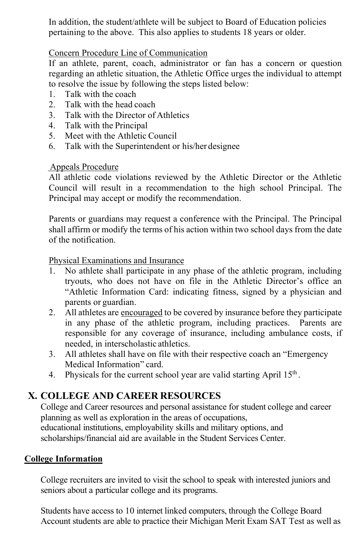In addition, the student/athlete will be subject to Board of Education policies pertaining to the above. This also applies to students 18 years or older.

#### Concern Procedure Line of Communication

If an athlete, parent, coach, administrator or fan has a concern or question regarding an athletic situation, the Athletic Office urges the individual to attempt to resolve the issue by following the steps listed below:

- 1. Talk with the coach
- 2. Talk with the head coach
- 3. Talk with the Director of Athletics
- 4. Talk with the Principal
- 5. Meet with the Athletic Council
- 6. Talk with the Superintendent or his/her designee

#### Appeals Procedure

All athletic code violations reviewed by the Athletic Director or the Athletic Council will result in a recommendation to the high school Principal. The Principal may accept or modify the recommendation.

Parents or guardians may request a conference with the Principal. The Principal shall affirm or modify the terms of his action within two school days from the date of the notification.

#### Physical Examinations and Insurance

- 1. No athlete shall participate in any phase of the athletic program, including tryouts, who does not have on file in the Athletic Director's office an "Athletic Information Card: indicating fitness, signed by a physician and parents or guardian.
- 2. All athletes are encouraged to be covered by insurance before they participate in any phase of the athletic program, including practices. Parents are responsible for any coverage of insurance, including ambulance costs, if needed, in interscholastic athletics.
- 3. All athletes shall have on file with their respective coach an "Emergency Medical Information" card.
- 4. Physicals for the current school year are valid starting April  $15<sup>th</sup>$ .

# **X. COLLEGE AND CAREER RESOURCES**

College and Career resources and personal assistance for student college and career planning as well as exploration in the areas of occupations, educational institutions, employability skills and military options, and scholarships/financial aid are available in the Student Services Center.

### **College Information**

College recruiters are invited to visit the school to speak with interested juniors and seniors about a particular college and its programs.

Students have access to 10 internet linked computers, through the College Board Account students are able to practice their Michigan Merit Exam SAT Test as well as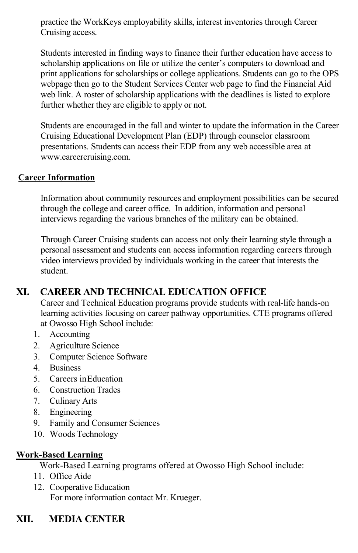practice the WorkKeys employability skills, interest inventories through Career Cruising access.

Students interested in finding ways to finance their further education have access to scholarship applications on file or utilize the center's computers to download and print applications for scholarships or college applications. Students can go to the OPS webpage then go to the Student Services Center web page to find the Financial Aid web link. A roster of scholarship applications with the deadlines is listed to explore further whether they are eligible to apply or not.

Students are encouraged in the fall and winter to update the information in the Career Cruising Educational Development Plan (EDP) through counselor classroom presentations. Students can access their EDP from any web accessible area at [www.careercruising.com.](http://www.careercruising.com/)

#### **Career Information**

Information about community resources and employment possibilities can be secured through the college and career office. In addition, information and personal interviews regarding the various branches of the military can be obtained.

Through Career Cruising students can access not only their learning style through a personal assessment and students can access information regarding careers through video interviews provided by individuals working in the career that interests the student.

# **XI. CAREER AND TECHNICAL EDUCATION OFFICE**

Career and Technical Education programs provide students with real-life hands-on learning activities focusing on career pathway opportunities. CTE programs offered at Owosso High School include:

- 1. Accounting
- 2. Agriculture Science
- 3. Computer Science Software
- 4. Business
- 5. Careers inEducation
- 6. Construction Trades
- 7. Culinary Arts
- 8. Engineering
- 9. Family and Consumer Sciences
- 10. Woods Technology

#### **Work-Based Learning**

Work-Based Learning programs offered at Owosso High School include:

- 11. Office Aide
- 12. Cooperative Education For more information contact Mr. Krueger.

# **XII. MEDIA CENTER**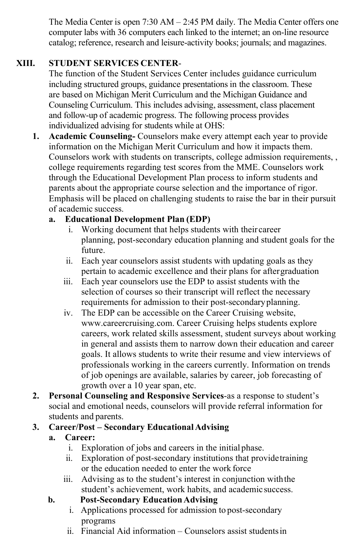The Media Center is open 7:30 AM – 2:45 PM daily. The Media Center offers one computer labs with 36 computers each linked to the internet; an on-line resource catalog; reference, research and leisure-activity books; journals; and magazines.

# **XIII. STUDENT SERVICES CENTER**-

The function of the Student Services Center includes guidance curriculum including structured groups, guidance presentations in the classroom. These are based on Michigan Merit Curriculum and the Michigan Guidance and Counseling Curriculum. This includes advising, assessment, class placement and follow-up of academic progress. The following process provides individualized advising for students while at OHS:

**1. Academic Counseling-** Counselors make every attempt each year to provide information on the Michigan Merit Curriculum and how it impacts them. Counselors work with students on transcripts, college admission requirements, , college requirements regarding test scores from the MME. Counselors work through the Educational Development Plan process to inform students and parents about the appropriate course selection and the importance of rigor. Emphasis will be placed on challenging students to raise the bar in their pursuit of academic success.

# **a. Educational Development Plan (EDP)**

- i. Working document that helps students with their career planning, post-secondary education planning and student goals for the future.
- ii. Each year counselors assist students with updating goals as they pertain to academic excellence and their plans for aftergraduation
- iii. Each year counselors use the EDP to assist students with the selection of courses so their transcript will reflect the necessary requirements for admission to their post-secondaryplanning.
- iv. The EDP can be accessible on the Career Cruising website[,](http://www.careercruising.com/) [www.careercruising.com. C](http://www.careercruising.com/)areer Cruising helps students explore careers, work related skills assessment, student surveys about working in general and assists them to narrow down their education and career goals. It allows students to write their resume and view interviews of professionals working in the careers currently. Information on trends of job openings are available, salaries by career, job forecasting of growth over a 10 year span, etc.
- **2. Personal Counseling and Responsive Services**-as a response to student's social and emotional needs, counselors will provide referral information for students and parents.

# **3. Career/Post – Secondary Educational Advising**

# **a. Career:**

- i. Exploration of jobs and careers in the initial phase.
- ii. Exploration of post-secondary institutions that providetraining or the education needed to enter the work force
- iii. Advising as to the student's interest in conjunction withthe student's achievement, work habits, and academic success.

# **b. Post-Secondary EducationAdvising**

- i. Applications processed for admission to post-secondary programs
- ii. Financial Aid information Counselors assist studentsin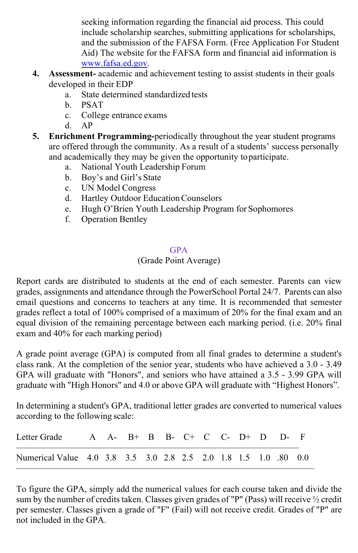seeking information regarding the financial aid process. This could include scholarship searches, submitting applications for scholarships, and the submission of the FAFSA Form. (Free Application For Student Aid) The website for the FAFSA form and financial aid information is [www.fafsa.ed.gov.](http://www.fafsa.ed.gov/)

- **4. Assessment-** academic and achievement testing to assist students in their goals developed in their EDP
	- a. State determined standardized tests
	- b. PSAT
	- c. College entrance exams
	- d. AP
- **5. Enrichment Programming-**periodically throughout the year student programs are offered through the community. As a result of a students' success personally and academically they may be given the opportunity toparticipate.
	- a. National Youth Leadership Forum
	- b. Boy's and Girl's State
	- c. UN Model Congress
	- d. Hartley Outdoor EducationCounselors
	- e. Hugh O'Brien Youth Leadership Program for Sophomores
	- f. Operation Bentley

#### GPA

#### (Grade Point Average)

Report cards are distributed to students at the end of each semester. Parents can view grades, assignments and attendance through the PowerSchool Portal 24/7. Parents can also email questions and concerns to teachers at any time. It is recommended that semester grades reflect a total of 100% comprised of a maximum of 20% for the final exam and an equal division of the remaining percentage between each marking period. (i.e. 20% final exam and 40% for each marking period)

A grade point average (GPA) is computed from all final grades to determine a student's class rank. At the completion of the senior year, students who have achieved a 3.0 - 3.49 GPA will graduate with "Honors", and seniors who have attained a 3.5 - 3.99 GPA will graduate with "High Honors" and 4.0 or above GPA will graduate with "Highest Honors".

In determining a student's GPA, traditional letter grades are converted to numerical values according to the following scale:

| Letter Grade                                                    |  | A $A - B + B$ B $C + C$ $C - D + D$ $D - F$ |  |  |  |  |  |
|-----------------------------------------------------------------|--|---------------------------------------------|--|--|--|--|--|
| Numerical Value 4.0 3.8 3.5 3.0 2.8 2.5 2.0 1.8 1.5 1.0 .80 0.0 |  |                                             |  |  |  |  |  |

To figure the GPA, simply add the numerical values for each course taken and divide the sum by the number of credits taken. Classes given grades of "P" (Pass) will receive ½ credit per semester. Classes given a grade of "F" (Fail) will not receive credit. Grades of "P" are not included in the GPA.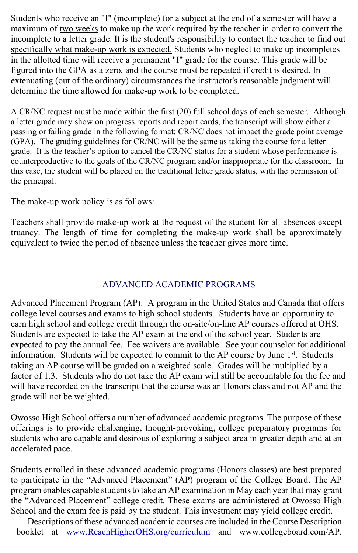Students who receive an "I" (incomplete) for a subject at the end of a semester will have a maximum of two weeks to make up the work required by the teacher in order to convert the incomplete to a letter grade. It is the student's responsibility to contact the teacher to find out specifically what make-up work is expected. Students who neglect to make up incompletes in the allotted time will receive a permanent "I" grade for the course. This grade will be figured into the GPA as a zero, and the course must be repeated if credit is desired. In extenuating (out of the ordinary) circumstances the instructor's reasonable judgment will determine the time allowed for make-up work to be completed.

A CR/NC request must be made within the first (20) full school days of each semester. Although a letter grade may show on progress reports and report cards, the transcript will show either a passing or failing grade in the following format: CR/NC does not impact the grade point average (GPA). The grading guidelines for CR/NC will be the same as taking the course for a letter grade. It is the teacher's option to cancel the CR/NC status for a student whose performance is counterproductive to the goals of the CR/NC program and/or inappropriate for the classroom. In this case, the student will be placed on the traditional letter grade status, with the permission of the principal.

The make-up work policy is as follows:

Teachers shall provide make-up work at the request of the student for all absences except truancy. The length of time for completing the make-up work shall be approximately equivalent to twice the period of absence unless the teacher gives more time.

### ADVANCED ACADEMIC PROGRAMS

Advanced Placement Program (AP): A program in the United States and Canada that offers college level courses and exams to high school students. Students have an opportunity to earn high school and college credit through the on-site/on-line AP courses offered at OHS. Students are expected to take the AP exam at the end of the school year. Students are expected to pay the annual fee. Fee waivers are available. See your counselor for additional information. Students will be expected to commit to the AP course by June 1<sup>st</sup>. Students taking an AP course will be graded on a weighted scale. Grades will be multiplied by a factor of 1.3. Students who do not take the AP exam will still be accountable for the fee and will have recorded on the transcript that the course was an Honors class and not AP and the grade will not be weighted.

Owosso High School offers a number of advanced academic programs. The purpose of these offerings is to provide challenging, thought-provoking, college preparatory programs for students who are capable and desirous of exploring a subject area in greater depth and at an accelerated pace.

Students enrolled in these advanced academic programs (Honors classes) are best prepared to participate in the "Advanced Placement" (AP) program of the College Board. The AP program enables capable students to take an AP examination in May each year that may grant the "Advanced Placement" college credit. These exams are administered at Owosso High School and the exam fee is paid by the student. This investment may yield college credit.

Descriptions of these advanced academic courses are included in the Course Description booklet at [www.ReachHigherOHS.org/curriculum](http://www.reachhigherohs.org/curriculum) and [www.collegeboard.com/AP.](http://www.collegeboard.com/AP)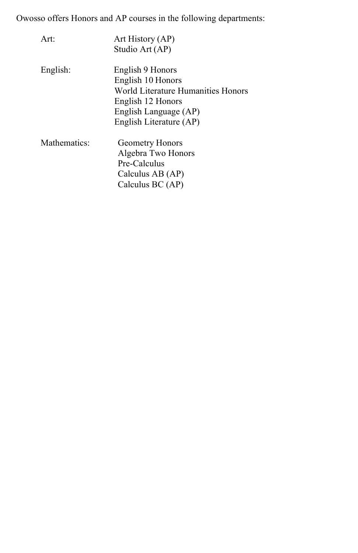Owosso offers Honors and AP courses in the following departments:

| Art:         | Art History (AP)                                        |
|--------------|---------------------------------------------------------|
|              | Studio Art (AP)                                         |
| English:     | English 9 Honors                                        |
|              | English 10 Honors<br>World Literature Humanities Honors |
|              |                                                         |
|              | English 12 Honors                                       |
|              | English Language (AP)                                   |
|              | English Literature (AP)                                 |
| Mathematics: | <b>Geometry Honors</b>                                  |
|              | Algebra Two Honors                                      |
|              | Pre-Calculus                                            |
|              | Calculus AB (AP)                                        |
|              | Calculus $BC(AP)$                                       |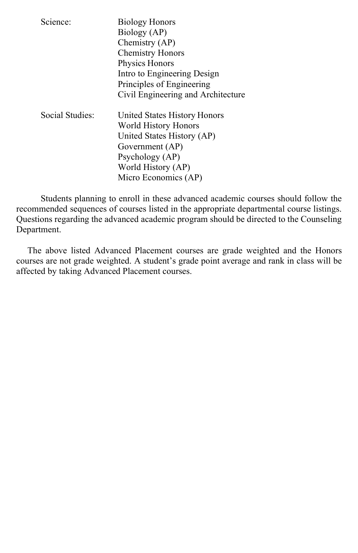| Science:        | <b>Biology Honors</b><br>Biology (AP)<br>Chemistry (AP)<br><b>Chemistry Honors</b><br>Physics Honors<br>Intro to Engineering Design<br>Principles of Engineering<br>Civil Engineering and Architecture |
|-----------------|--------------------------------------------------------------------------------------------------------------------------------------------------------------------------------------------------------|
| Social Studies: | United States History Honors<br>World History Honors<br>United States History (AP)<br>Government (AP)<br>Psychology (AP)<br>World History (AP)<br>Micro Economics (AP)                                 |

Students planning to enroll in these advanced academic courses should follow the recommended sequences of courses listed in the appropriate departmental course listings. Questions regarding the advanced academic program should be directed to the Counseling Department.

The above listed Advanced Placement courses are grade weighted and the Honors courses are not grade weighted. A student's grade point average and rank in class will be affected by taking Advanced Placement courses.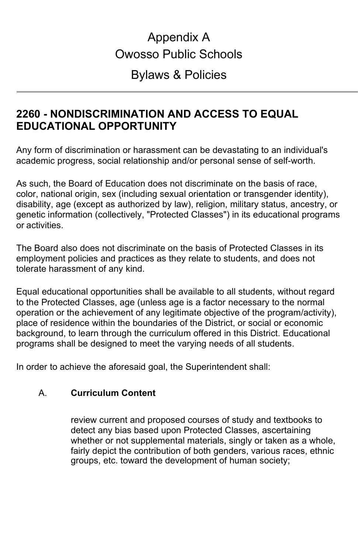# Appendix A Owosso Public Schools

# Bylaws & Policies

# **2260 - NONDISCRIMINATION AND ACCESS TO EQUAL EDUCATIONAL OPPORTUNITY**

Any form of discrimination or harassment can be devastating to an individual's academic progress, social relationship and/or personal sense of self-worth.

As such, the Board of Education does not discriminate on the basis of race, color, national origin, sex (including sexual orientation or transgender identity), disability, age (except as authorized by law), religion, military status, ancestry, or genetic information (collectively, "Protected Classes") in its educational programs or activities.

The Board also does not discriminate on the basis of Protected Classes in its employment policies and practices as they relate to students, and does not tolerate harassment of any kind.

Equal educational opportunities shall be available to all students, without regard to the Protected Classes, age (unless age is a factor necessary to the normal operation or the achievement of any legitimate objective of the program/activity), place of residence within the boundaries of the District, or social or economic background, to learn through the curriculum offered in this District. Educational programs shall be designed to meet the varying needs of all students.

In order to achieve the aforesaid goal, the Superintendent shall:

# A. **Curriculum Content**

review current and proposed courses of study and textbooks to detect any bias based upon Protected Classes, ascertaining whether or not supplemental materials, singly or taken as a whole, fairly depict the contribution of both genders, various races, ethnic groups, etc. toward the development of human society;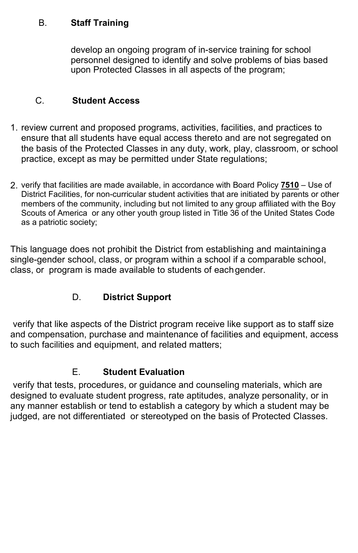### B. **Staff Training**

develop an ongoing program of in-service training for school personnel designed to identify and solve problems of bias based upon Protected Classes in all aspects of the program;

# C. **Student Access**

- 1. review current and proposed programs, activities, facilities, and practices to ensure that all students have equal access thereto and are not segregated on the basis of the Protected Classes in any duty, work, play, classroom, or school practice, except as may be permitted under State regulations;
- 2. verify that facilities are made available, in accordance with Board Policy **[7510](http://www.neola.com/owosso-mi/search/policies/po7510.htm)** Use of District Facilities, for non-curricular student activities that are initiated by parents or other members of the community, including but not limited to any group affiliated with the Boy Scouts of America or any other youth group listed in Title 36 of the United States Code as a patriotic society;

This language does not prohibit the District from establishing and maintaininga single-gender school, class, or program within a school if a comparable school, class, or program is made available to students of eachgender.

# D. **District Support**

verify that like aspects of the District program receive like support as to staff size and compensation, purchase and maintenance of facilities and equipment, access to such facilities and equipment, and related matters;

# E. **Student Evaluation**

verify that tests, procedures, or guidance and counseling materials, which are designed to evaluate student progress, rate aptitudes, analyze personality, or in any manner establish or tend to establish a category by which a student may be judged, are not differentiated or stereotyped on the basis of Protected Classes.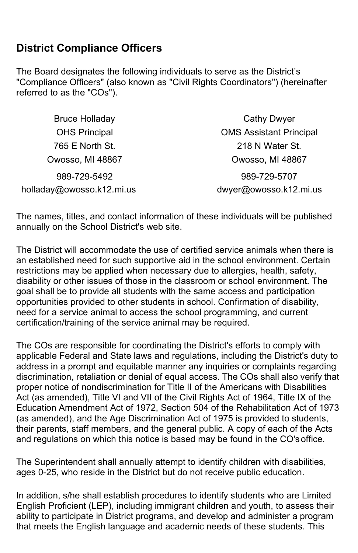# **District Compliance Officers**

The Board designates the following individuals to serve as the District's "Compliance Officers" (also known as "Civil Rights Coordinators") (hereinafter referred to as the "COs").

| <b>Bruce Holladay</b>     | <b>Cathy Dwyer</b>             |
|---------------------------|--------------------------------|
| <b>OHS Principal</b>      | <b>OMS Assistant Principal</b> |
| 765 E North St.           | 218 N Water St.                |
| Owosso, MI 48867          | Owosso, MI 48867               |
| 989-729-5492              | 989-729-5707                   |
| holladay@owosso.k12.mi.us | dwyer@owosso.k12.mi.us         |

The names, titles, and contact information of these individuals will be published annually on the School District's web site.

The District will accommodate the use of certified service animals when there is an established need for such supportive aid in the school environment. Certain restrictions may be applied when necessary due to allergies, health, safety, disability or other issues of those in the classroom or school environment. The goal shall be to provide all students with the same access and participation opportunities provided to other students in school. Confirmation of disability, need for a service animal to access the school programming, and current certification/training of the service animal may be required.

The COs are responsible for coordinating the District's efforts to comply with applicable Federal and State laws and regulations, including the District's duty to address in a prompt and equitable manner any inquiries or complaints regarding discrimination, retaliation or denial of equal access. The COs shall also verify that proper notice of nondiscrimination for Title II of the Americans with Disabilities Act (as amended), Title VI and VII of the Civil Rights Act of 1964, Title IX of the Education Amendment Act of 1972, Section 504 of the Rehabilitation Act of 1973 (as amended), and the Age Discrimination Act of 1975 is provided to students, their parents, staff members, and the general public. A copy of each of the Acts and regulations on which this notice is based may be found in the CO'soffice.

The Superintendent shall annually attempt to identify children with disabilities, ages 0-25, who reside in the District but do not receive public education.

In addition, s/he shall establish procedures to identify students who are Limited English Proficient (LEP), including immigrant children and youth, to assess their ability to participate in District programs, and develop and administer a program that meets the English language and academic needs of these students. This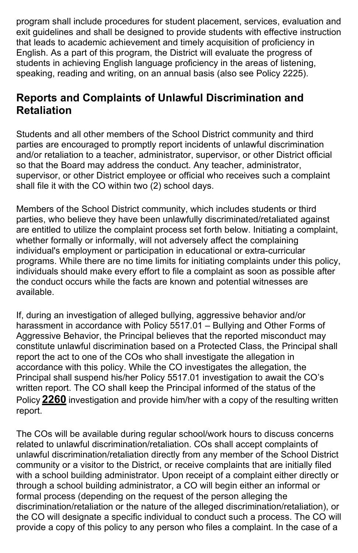program shall include procedures for student placement, services, evaluation and exit guidelines and shall be designed to provide students with effective instruction that leads to academic achievement and timely acquisition of proficiency in English. As a part of this program, the District will evaluate the progress of students in achieving English language proficiency in the areas of listening, speaking, reading and writing, on an annual basis (also see Policy 2225).

# **Reports and Complaints of Unlawful Discrimination and Retaliation**

Students and all other members of the School District community and third parties are encouraged to promptly report incidents of unlawful discrimination and/or retaliation to a teacher, administrator, supervisor, or other District official so that the Board may address the conduct. Any teacher, administrator, supervisor, or other District employee or official who receives such a complaint shall file it with the CO within two (2) school days.

Members of the School District community, which includes students or third parties, who believe they have been unlawfully discriminated/retaliated against are entitled to utilize the complaint process set forth below. Initiating a complaint, whether formally or informally, will not adversely affect the complaining individual's employment or participation in educational or extra-curricular programs. While there are no time limits for initiating complaints under this policy, individuals should make every effort to file a complaint as soon as possible after the conduct occurs while the facts are known and potential witnesses are available.

If, during an investigation of alleged bullying, aggressive behavior and/or harassment in accordance with Policy 5517.01 – Bullying and Other Forms of Aggressive Behavior, the Principal believes that the reported misconduct may constitute unlawful discrimination based on a Protected Class, the Principal shall report the act to one of the COs who shall investigate the allegation in accordance with this policy. While the CO investigates the allegation, the Principal shall suspend his/her Policy 5517.01 investigation to await the CO's written report. The CO shall keep the Principal informed of the status of the Policy **[2260](http://www.neola.com/owosso-mi/search/policies/po2260.htm)** investigation and provide him/her with a copy of the resulting written report.

The COs will be available during regular school/work hours to discuss concerns related to unlawful discrimination/retaliation. COs shall accept complaints of unlawful discrimination/retaliation directly from any member of the School District community or a visitor to the District, or receive complaints that are initially filed with a school building administrator. Upon receipt of a complaint either directly or through a school building administrator, a CO will begin either an informal or formal process (depending on the request of the person alleging the discrimination/retaliation or the nature of the alleged discrimination/retaliation), or the CO will designate a specific individual to conduct such a process. The CO will provide a copy of this policy to any person who files a complaint. In the case of a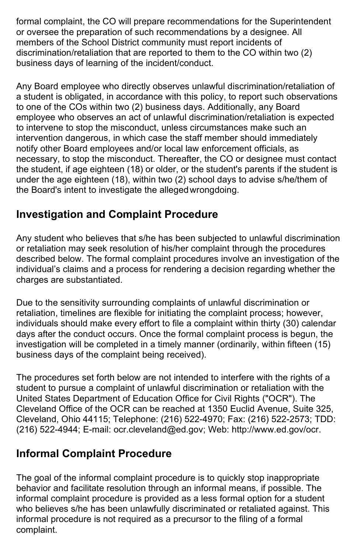formal complaint, the CO will prepare recommendations for the Superintendent or oversee the preparation of such recommendations by a designee. All members of the School District community must report incidents of discrimination/retaliation that are reported to them to the CO within two (2) business days of learning of the incident/conduct.

Any Board employee who directly observes unlawful discrimination/retaliation of a student is obligated, in accordance with this policy, to report such observations to one of the COs within two (2) business days. Additionally, any Board employee who observes an act of unlawful discrimination/retaliation is expected to intervene to stop the misconduct, unless circumstances make such an intervention dangerous, in which case the staff member should immediately notify other Board employees and/or local law enforcement officials, as necessary, to stop the misconduct. Thereafter, the CO or designee must contact the student, if age eighteen (18) or older, or the student's parents if the student is under the age eighteen (18), within two (2) school days to advise s/he/them of the Board's intent to investigate the allegedwrongdoing.

# **Investigation and Complaint Procedure**

Any student who believes that s/he has been subjected to unlawful discrimination or retaliation may seek resolution of his/her complaint through the procedures described below. The formal complaint procedures involve an investigation of the individual's claims and a process for rendering a decision regarding whether the charges are substantiated.

Due to the sensitivity surrounding complaints of unlawful discrimination or retaliation, timelines are flexible for initiating the complaint process; however, individuals should make every effort to file a complaint within thirty (30) calendar days after the conduct occurs. Once the formal complaint process is begun, the investigation will be completed in a timely manner (ordinarily, within fifteen (15) business days of the complaint being received).

The procedures set forth below are not intended to interfere with the rights of a student to pursue a complaint of unlawful discrimination or retaliation with the United States Department of Education Office for Civil Rights ("OCR"). The Cleveland Office of the OCR can be reached at 1350 Euclid Avenue, Suite 325, Cleveland, Ohio 44115; Telephone: (216) 522-4970; Fax: (216) 522-2573; TDD: (216) 522-4944; E-mail: ocr.cleveland@ed.gov; Web: [http://www.ed.gov/ocr.](http://www.ed.gov/ocr)

# **Informal Complaint Procedure**

The goal of the informal complaint procedure is to quickly stop inappropriate behavior and facilitate resolution through an informal means, if possible. The informal complaint procedure is provided as a less formal option for a student who believes s/he has been unlawfully discriminated or retaliated against. This informal procedure is not required as a precursor to the filing of a formal complaint.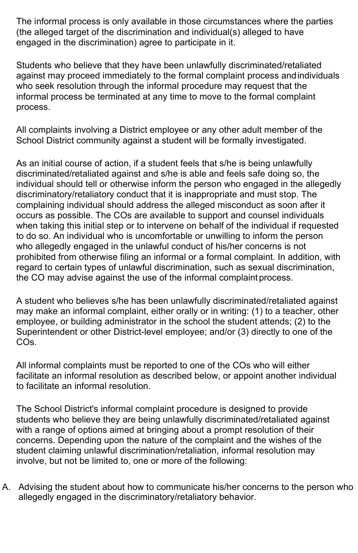The informal process is only available in those circumstances where the parties (the alleged target of the discrimination and individual(s) alleged to have engaged in the discrimination) agree to participate in it.

Students who believe that they have been unlawfully discriminated/retaliated against may proceed immediately to the formal complaint process andindividuals who seek resolution through the informal procedure may request that the informal process be terminated at any time to move to the formal complaint process.

All complaints involving a District employee or any other adult member of the School District community against a student will be formally investigated.

As an initial course of action, if a student feels that s/he is being unlawfully discriminated/retaliated against and s/he is able and feels safe doing so, the individual should tell or otherwise inform the person who engaged in the allegedly discriminatory/retaliatory conduct that it is inappropriate and must stop. The complaining individual should address the alleged misconduct as soon after it occurs as possible. The COs are available to support and counsel individuals when taking this initial step or to intervene on behalf of the individual if requested to do so. An individual who is uncomfortable or unwilling to inform the person who allegedly engaged in the unlawful conduct of his/her concerns is not prohibited from otherwise filing an informal or a formal complaint. In addition, with regard to certain types of unlawful discrimination, such as sexual discrimination, the CO may advise against the use of the informal complaint process.

A student who believes s/he has been unlawfully discriminated/retaliated against may make an informal complaint, either orally or in writing: (1) to a teacher, other employee, or building administrator in the school the student attends; (2) to the Superintendent or other District-level employee; and/or (3) directly to one of the COs.

All informal complaints must be reported to one of the COs who will either facilitate an informal resolution as described below, or appoint another individual to facilitate an informal resolution.

The School District's informal complaint procedure is designed to provide students who believe they are being unlawfully discriminated/retaliated against with a range of options aimed at bringing about a prompt resolution of their concerns. Depending upon the nature of the complaint and the wishes of the student claiming unlawful discrimination/retaliation, informal resolution may involve, but not be limited to, one or more of the following:

A. Advising the student about how to communicate his/her concerns to the person who allegedly engaged in the discriminatory/retaliatory behavior.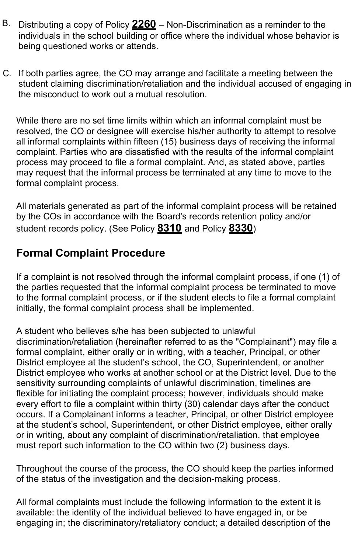- B. Distributing a copy of Policy **[2260](http://www.neola.com/owosso-mi/search/policies/po2260.htm)** Non-Discrimination as a reminder to the individuals in the school building or office where the individual whose behavior is being questioned works or attends.
- C. If both parties agree, the CO may arrange and facilitate a meeting between the student claiming discrimination/retaliation and the individual accused of engaging in the misconduct to work out a mutual resolution.

While there are no set time limits within which an informal complaint must be resolved, the CO or designee will exercise his/her authority to attempt to resolve all informal complaints within fifteen (15) business days of receiving the informal complaint. Parties who are dissatisfied with the results of the informal complaint process may proceed to file a formal complaint. And, as stated above, parties may request that the informal process be terminated at any time to move to the formal complaint process.

All materials generated as part of the informal complaint process will be retained by the COs in accordance with the Board's records retention policy and/or student records policy. (See Policy **[8310](http://www.neola.com/owosso-mi/search/policies/po8310.htm)** and Policy **[8330](http://www.neola.com/owosso-mi/search/policies/po8330.htm)**)

# **Formal Complaint Procedure**

If a complaint is not resolved through the informal complaint process, if one (1) of the parties requested that the informal complaint process be terminated to move to the formal complaint process, or if the student elects to file a formal complaint initially, the formal complaint process shall be implemented.

A student who believes s/he has been subjected to unlawful discrimination/retaliation (hereinafter referred to as the "Complainant") may file a formal complaint, either orally or in writing, with a teacher, Principal, or other District employee at the student's school, the CO, Superintendent, or another District employee who works at another school or at the District level. Due to the sensitivity surrounding complaints of unlawful discrimination, timelines are flexible for initiating the complaint process; however, individuals should make every effort to file a complaint within thirty (30) calendar days after the conduct occurs. If a Complainant informs a teacher, Principal, or other District employee at the student's school, Superintendent, or other District employee, either orally or in writing, about any complaint of discrimination/retaliation, that employee must report such information to the CO within two (2) business days.

Throughout the course of the process, the CO should keep the parties informed of the status of the investigation and the decision-making process.

All formal complaints must include the following information to the extent it is available: the identity of the individual believed to have engaged in, or be engaging in; the discriminatory/retaliatory conduct; a detailed description of the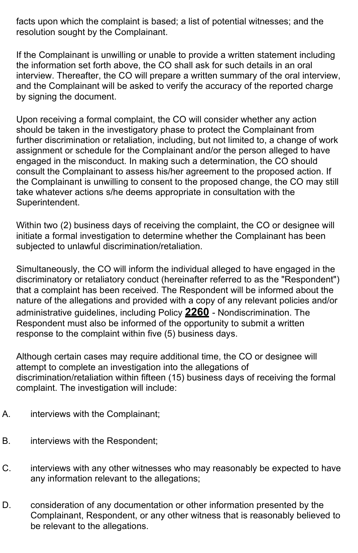facts upon which the complaint is based; a list of potential witnesses; and the resolution sought by the Complainant.

If the Complainant is unwilling or unable to provide a written statement including the information set forth above, the CO shall ask for such details in an oral interview. Thereafter, the CO will prepare a written summary of the oral interview, and the Complainant will be asked to verify the accuracy of the reported charge by signing the document.

Upon receiving a formal complaint, the CO will consider whether any action should be taken in the investigatory phase to protect the Complainant from further discrimination or retaliation, including, but not limited to, a change of work assignment or schedule for the Complainant and/or the person alleged to have engaged in the misconduct. In making such a determination, the CO should consult the Complainant to assess his/her agreement to the proposed action. If the Complainant is unwilling to consent to the proposed change, the CO may still take whatever actions s/he deems appropriate in consultation with the Superintendent.

Within two (2) business days of receiving the complaint, the CO or designee will initiate a formal investigation to determine whether the Complainant has been subjected to unlawful discrimination/retaliation.

Simultaneously, the CO will inform the individual alleged to have engaged in the discriminatory or retaliatory conduct (hereinafter referred to as the "Respondent") that a complaint has been received. The Respondent will be informed about the nature of the allegations and provided with a copy of any relevant policies and/or administrative guidelines, including Policy **[2260](http://www.neola.com/owosso-mi/search/policies/po2260.htm)** - Nondiscrimination. The Respondent must also be informed of the opportunity to submit a written response to the complaint within five (5) business days.

Although certain cases may require additional time, the CO or designee will attempt to complete an investigation into the allegations of discrimination/retaliation within fifteen (15) business days of receiving the formal complaint. The investigation will include:

- A. interviews with the Complainant;
- B. interviews with the Respondent;
- C. interviews with any other witnesses who may reasonably be expected to have any information relevant to the allegations;
- D. consideration of any documentation or other information presented by the Complainant, Respondent, or any other witness that is reasonably believed to be relevant to the allegations.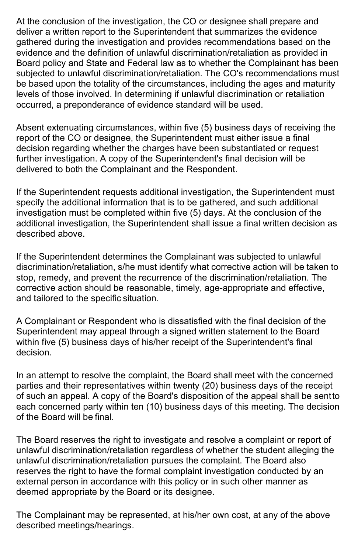At the conclusion of the investigation, the CO or designee shall prepare and deliver a written report to the Superintendent that summarizes the evidence gathered during the investigation and provides recommendations based on the evidence and the definition of unlawful discrimination/retaliation as provided in Board policy and State and Federal law as to whether the Complainant has been subjected to unlawful discrimination/retaliation. The CO's recommendations must be based upon the totality of the circumstances, including the ages and maturity levels of those involved. In determining if unlawful discrimination or retaliation occurred, a preponderance of evidence standard will be used.

Absent extenuating circumstances, within five (5) business days of receiving the report of the CO or designee, the Superintendent must either issue a final decision regarding whether the charges have been substantiated or request further investigation. A copy of the Superintendent's final decision will be delivered to both the Complainant and the Respondent.

If the Superintendent requests additional investigation, the Superintendent must specify the additional information that is to be gathered, and such additional investigation must be completed within five (5) days. At the conclusion of the additional investigation, the Superintendent shall issue a final written decision as described above.

If the Superintendent determines the Complainant was subjected to unlawful discrimination/retaliation, s/he must identify what corrective action will be taken to stop, remedy, and prevent the recurrence of the discrimination/retaliation. The corrective action should be reasonable, timely, age-appropriate and effective, and tailored to the specific situation.

A Complainant or Respondent who is dissatisfied with the final decision of the Superintendent may appeal through a signed written statement to the Board within five (5) business days of his/her receipt of the Superintendent's final decision.

In an attempt to resolve the complaint, the Board shall meet with the concerned parties and their representatives within twenty (20) business days of the receipt of such an appeal. A copy of the Board's disposition of the appeal shall be sentto each concerned party within ten (10) business days of this meeting. The decision of the Board will be final.

The Board reserves the right to investigate and resolve a complaint or report of unlawful discrimination/retaliation regardless of whether the student alleging the unlawful discrimination/retaliation pursues the complaint. The Board also reserves the right to have the formal complaint investigation conducted by an external person in accordance with this policy or in such other manner as deemed appropriate by the Board or its designee.

The Complainant may be represented, at his/her own cost, at any of the above described meetings/hearings.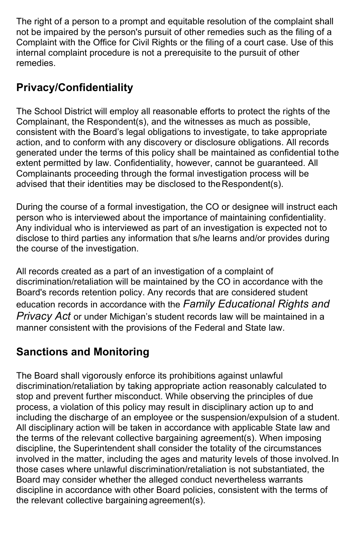The right of a person to a prompt and equitable resolution of the complaint shall not be impaired by the person's pursuit of other remedies such as the filing of a Complaint with the Office for Civil Rights or the filing of a court case. Use of this internal complaint procedure is not a prerequisite to the pursuit of other remedies.

# **Privacy/Confidentiality**

The School District will employ all reasonable efforts to protect the rights of the Complainant, the Respondent(s), and the witnesses as much as possible, consistent with the Board's legal obligations to investigate, to take appropriate action, and to conform with any discovery or disclosure obligations. All records generated under the terms of this policy shall be maintained as confidential tothe extent permitted by law. Confidentiality, however, cannot be guaranteed. All Complainants proceeding through the formal investigation process will be advised that their identities may be disclosed to the Respondent(s).

During the course of a formal investigation, the CO or designee will instruct each person who is interviewed about the importance of maintaining confidentiality. Any individual who is interviewed as part of an investigation is expected not to disclose to third parties any information that s/he learns and/or provides during the course of the investigation.

All records created as a part of an investigation of a complaint of discrimination/retaliation will be maintained by the CO in accordance with the Board's records retention policy. Any records that are considered student education records in accordance with the *Family Educational Rights and Privacy Act* or under Michigan's student records law will be maintained in a manner consistent with the provisions of the Federal and State law.

# **Sanctions and Monitoring**

The Board shall vigorously enforce its prohibitions against unlawful discrimination/retaliation by taking appropriate action reasonably calculated to stop and prevent further misconduct. While observing the principles of due process, a violation of this policy may result in disciplinary action up to and including the discharge of an employee or the suspension/expulsion of a student. All disciplinary action will be taken in accordance with applicable State law and the terms of the relevant collective bargaining agreement(s). When imposing discipline, the Superintendent shall consider the totality of the circumstances involved in the matter, including the ages and maturity levels of those involved.In those cases where unlawful discrimination/retaliation is not substantiated, the Board may consider whether the alleged conduct nevertheless warrants discipline in accordance with other Board policies, consistent with the terms of the relevant collective bargaining agreement(s).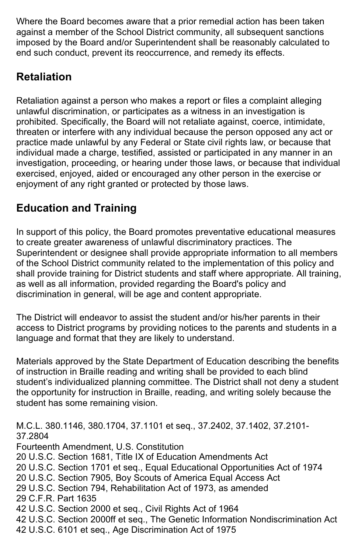Where the Board becomes aware that a prior remedial action has been taken against a member of the School District community, all subsequent sanctions imposed by the Board and/or Superintendent shall be reasonably calculated to end such conduct, prevent its reoccurrence, and remedy its effects.

# **Retaliation**

Retaliation against a person who makes a report or files a complaint alleging unlawful discrimination, or participates as a witness in an investigation is prohibited. Specifically, the Board will not retaliate against, coerce, intimidate, threaten or interfere with any individual because the person opposed any act or practice made unlawful by any Federal or State civil rights law, or because that individual made a charge, testified, assisted or participated in any manner in an investigation, proceeding, or hearing under those laws, or because that individual exercised, enjoyed, aided or encouraged any other person in the exercise or enjoyment of any right granted or protected by those laws.

# **Education and Training**

In support of this policy, the Board promotes preventative educational measures to create greater awareness of unlawful discriminatory practices. The Superintendent or designee shall provide appropriate information to all members of the School District community related to the implementation of this policy and shall provide training for District students and staff where appropriate. All training, as well as all information, provided regarding the Board's policy and discrimination in general, will be age and content appropriate.

The District will endeavor to assist the student and/or his/her parents in their access to District programs by providing notices to the parents and students in a language and format that they are likely to understand.

Materials approved by the State Department of Education describing the benefits of instruction in Braille reading and writing shall be provided to each blind student's individualized planning committee. The District shall not deny a student the opportunity for instruction in Braille, reading, and writing solely because the student has some remaining vision.

M.C.L. 380.1146, 380.1704, 37.1101 et seq., 37.2402, 37.1402, 37.2101- 37.2804 Fourteenth Amendment, U.S. Constitution 20 U.S.C. Section 1681, Title IX of Education Amendments Act 20 U.S.C. Section 1701 et seq., Equal Educational Opportunities Act of 1974 20 U.S.C. Section 7905, Boy Scouts of America Equal Access Act 29 U.S.C. Section 794, Rehabilitation Act of 1973, as amended 29 C.F.R. Part 1635 42 U.S.C. Section 2000 et seq., Civil Rights Act of 1964 42 U.S.C. Section 2000ff et seq., The Genetic Information Nondiscrimination Act 42 U.S.C. 6101 et seq., Age Discrimination Act of 1975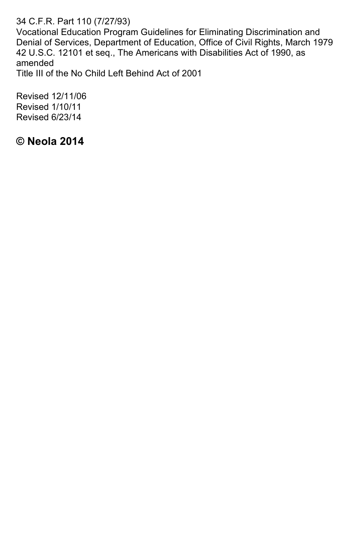34 C.F.R. Part 110 (7/27/93)

Vocational Education Program Guidelines for Eliminating Discrimination and Denial of Services, Department of Education, Office of Civil Rights, March 1979 42 U.S.C. 12101 et seq., The Americans with Disabilities Act of 1990, as amended

Title III of the No Child Left Behind Act of 2001

Revised 12/11/06 Revised 1/10/11 Revised 6/23/14

**© Neola 2014**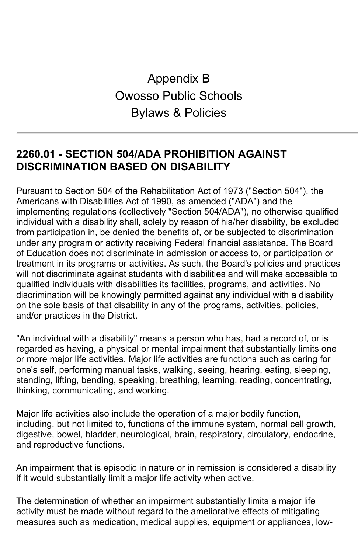# Appendix B Owosso Public Schools Bylaws & Policies

# **2260.01 - SECTION 504/ADA PROHIBITION AGAINST DISCRIMINATION BASED ON DISABILITY**

Pursuant to Section 504 of the Rehabilitation Act of 1973 ("Section 504"), the Americans with Disabilities Act of 1990, as amended ("ADA") and the implementing regulations (collectively "Section 504/ADA"), no otherwise qualified individual with a disability shall, solely by reason of his/her disability, be excluded from participation in, be denied the benefits of, or be subjected to discrimination under any program or activity receiving Federal financial assistance. The Board of Education does not discriminate in admission or access to, or participation or treatment in its programs or activities. As such, the Board's policies and practices will not discriminate against students with disabilities and will make accessible to qualified individuals with disabilities its facilities, programs, and activities. No discrimination will be knowingly permitted against any individual with a disability on the sole basis of that disability in any of the programs, activities, policies, and/or practices in the District.

"An individual with a disability" means a person who has, had a record of, or is regarded as having, a physical or mental impairment that substantially limits one or more major life activities. Major life activities are functions such as caring for one's self, performing manual tasks, walking, seeing, hearing, eating, sleeping, standing, lifting, bending, speaking, breathing, learning, reading, concentrating, thinking, communicating, and working.

Major life activities also include the operation of a major bodily function, including, but not limited to, functions of the immune system, normal cell growth, digestive, bowel, bladder, neurological, brain, respiratory, circulatory, endocrine, and reproductive functions.

An impairment that is episodic in nature or in remission is considered a disability if it would substantially limit a major life activity when active.

The determination of whether an impairment substantially limits a major life activity must be made without regard to the ameliorative effects of mitigating measures such as medication, medical supplies, equipment or appliances, low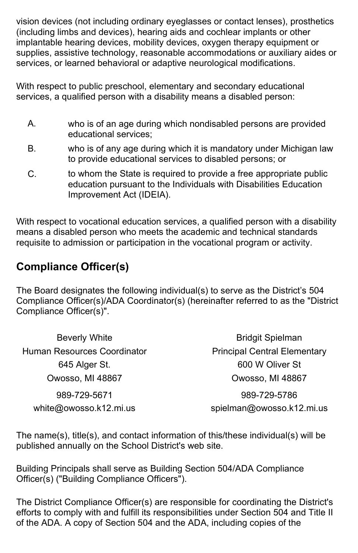vision devices (not including ordinary eyeglasses or contact lenses), prosthetics (including limbs and devices), hearing aids and cochlear implants or other implantable hearing devices, mobility devices, oxygen therapy equipment or supplies, assistive technology, reasonable accommodations or auxiliary aides or services, or learned behavioral or adaptive neurological modifications.

With respect to public preschool, elementary and secondary educational services, a qualified person with a disability means a disabled person:

- A. who is of an age during which nondisabled persons are provided educational services;
- B. who is of any age during which it is mandatory under Michigan law to provide educational services to disabled persons; or
- C. to whom the State is required to provide a free appropriate public education pursuant to the Individuals with Disabilities Education Improvement Act (IDEIA).

With respect to vocational education services, a qualified person with a disability means a disabled person who meets the academic and technical standards requisite to admission or participation in the vocational program or activity.

# **Compliance Officer(s)**

The Board designates the following individual(s) to serve as the District's 504 Compliance Officer(s)/ADA Coordinator(s) (hereinafter referred to as the "District Compliance Officer(s)".

| <b>Beverly White</b>        | <b>Bridgit Spielman</b>             |
|-----------------------------|-------------------------------------|
| Human Resources Coordinator | <b>Principal Central Elementary</b> |
| 645 Alger St.               | 600 W Oliver St                     |
| Owosso, MI 48867            | Owosso, MI 48867                    |
| 989-729-5671                | 989-729-5786                        |
| white@owosso.k12.mi.us      | spielman@owosso.k12.mi.us           |

The name(s), title(s), and contact information of this/these individual(s) will be published annually on the School District's web site.

Building Principals shall serve as Building Section 504/ADA Compliance Officer(s) ("Building Compliance Officers").

The District Compliance Officer(s) are responsible for coordinating the District's efforts to comply with and fulfill its responsibilities under Section 504 and Title II of the ADA. A copy of Section 504 and the ADA, including copies of the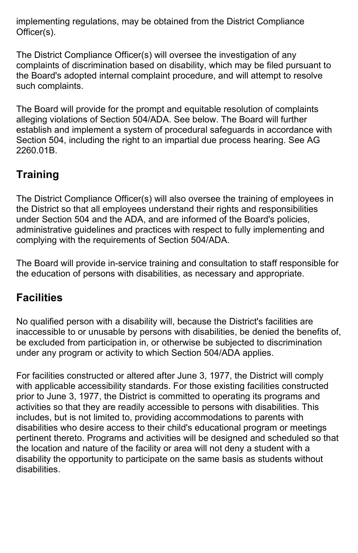implementing regulations, may be obtained from the District Compliance Officer(s).

The District Compliance Officer(s) will oversee the investigation of any complaints of discrimination based on disability, which may be filed pursuant to the Board's adopted internal complaint procedure, and will attempt to resolve such complaints.

The Board will provide for the prompt and equitable resolution of complaints alleging violations of Section 504/ADA. See below. The Board will further establish and implement a system of procedural safeguards in accordance with Section 504, including the right to an impartial due process hearing. See AG 2260.01B.

# **Training**

The District Compliance Officer(s) will also oversee the training of employees in the District so that all employees understand their rights and responsibilities under Section 504 and the ADA, and are informed of the Board's policies, administrative guidelines and practices with respect to fully implementing and complying with the requirements of Section 504/ADA.

The Board will provide in-service training and consultation to staff responsible for the education of persons with disabilities, as necessary and appropriate.

# **Facilities**

No qualified person with a disability will, because the District's facilities are inaccessible to or unusable by persons with disabilities, be denied the benefits of, be excluded from participation in, or otherwise be subjected to discrimination under any program or activity to which Section 504/ADA applies.

For facilities constructed or altered after June 3, 1977, the District will comply with applicable accessibility standards. For those existing facilities constructed prior to June 3, 1977, the District is committed to operating its programs and activities so that they are readily accessible to persons with disabilities. This includes, but is not limited to, providing accommodations to parents with disabilities who desire access to their child's educational program or meetings pertinent thereto. Programs and activities will be designed and scheduled so that the location and nature of the facility or area will not deny a student with a disability the opportunity to participate on the same basis as students without disabilities.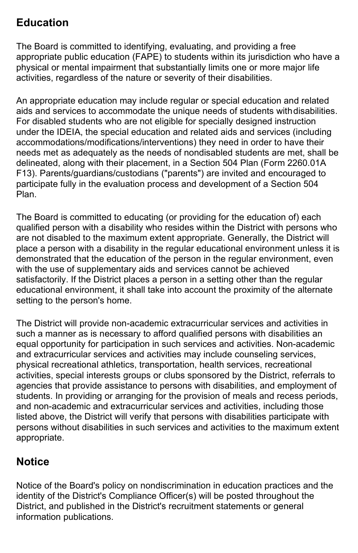# **Education**

The Board is committed to identifying, evaluating, and providing a free appropriate public education (FAPE) to students within its jurisdiction who have a physical or mental impairment that substantially limits one or more major life activities, regardless of the nature or severity of their disabilities.

An appropriate education may include regular or special education and related aids and services to accommodate the unique needs of students withdisabilities. For disabled students who are not eligible for specially designed instruction under the IDEIA, the special education and related aids and services (including accommodations/modifications/interventions) they need in order to have their needs met as adequately as the needs of nondisabled students are met, shall be delineated, along with their placement, in a Section 504 Plan (Form 2260.01A F13). Parents/guardians/custodians ("parents") are invited and encouraged to participate fully in the evaluation process and development of a Section 504 Plan.

The Board is committed to educating (or providing for the education of) each qualified person with a disability who resides within the District with persons who are not disabled to the maximum extent appropriate. Generally, the District will place a person with a disability in the regular educational environment unless it is demonstrated that the education of the person in the regular environment, even with the use of supplementary aids and services cannot be achieved satisfactorily. If the District places a person in a setting other than the regular educational environment, it shall take into account the proximity of the alternate setting to the person's home.

The District will provide non-academic extracurricular services and activities in such a manner as is necessary to afford qualified persons with disabilities an equal opportunity for participation in such services and activities. Non-academic and extracurricular services and activities may include counseling services, physical recreational athletics, transportation, health services, recreational activities, special interests groups or clubs sponsored by the District, referrals to agencies that provide assistance to persons with disabilities, and employment of students. In providing or arranging for the provision of meals and recess periods, and non-academic and extracurricular services and activities, including those listed above, the District will verify that persons with disabilities participate with persons without disabilities in such services and activities to the maximum extent appropriate.

# **Notice**

Notice of the Board's policy on nondiscrimination in education practices and the identity of the District's Compliance Officer(s) will be posted throughout the District, and published in the District's recruitment statements or general information publications.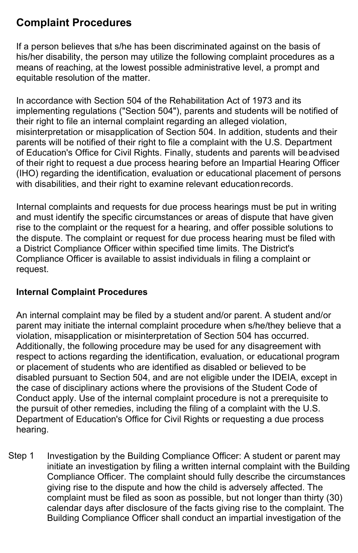# **Complaint Procedures**

If a person believes that s/he has been discriminated against on the basis of his/her disability, the person may utilize the following complaint procedures as a means of reaching, at the lowest possible administrative level, a prompt and equitable resolution of the matter.

In accordance with Section 504 of the Rehabilitation Act of 1973 and its implementing regulations ("Section 504"), parents and students will be notified of their right to file an internal complaint regarding an alleged violation, misinterpretation or misapplication of Section 504. In addition, students and their parents will be notified of their right to file a complaint with the U.S. Department of Education's Office for Civil Rights. Finally, students and parents will beadvised of their right to request a due process hearing before an Impartial Hearing Officer (IHO) regarding the identification, evaluation or educational placement of persons with disabilities, and their right to examine relevant educationrecords.

Internal complaints and requests for due process hearings must be put in writing and must identify the specific circumstances or areas of dispute that have given rise to the complaint or the request for a hearing, and offer possible solutions to the dispute. The complaint or request for due process hearing must be filed with a District Compliance Officer within specified time limits. The District's Compliance Officer is available to assist individuals in filing a complaint or request.

# **Internal Complaint Procedures**

An internal complaint may be filed by a student and/or parent. A student and/or parent may initiate the internal complaint procedure when s/he/they believe that a violation, misapplication or misinterpretation of Section 504 has occurred. Additionally, the following procedure may be used for any disagreement with respect to actions regarding the identification, evaluation, or educational program or placement of students who are identified as disabled or believed to be disabled pursuant to Section 504, and are not eligible under the IDEIA, except in the case of disciplinary actions where the provisions of the Student Code of Conduct apply. Use of the internal complaint procedure is not a prerequisite to the pursuit of other remedies, including the filing of a complaint with the U.S. Department of Education's Office for Civil Rights or requesting a due process hearing.

Step 1 Investigation by the Building Compliance Officer: A student or parent may initiate an investigation by filing a written internal complaint with the Building Compliance Officer. The complaint should fully describe the circumstances giving rise to the dispute and how the child is adversely affected. The complaint must be filed as soon as possible, but not longer than thirty (30) calendar days after disclosure of the facts giving rise to the complaint. The Building Compliance Officer shall conduct an impartial investigation of the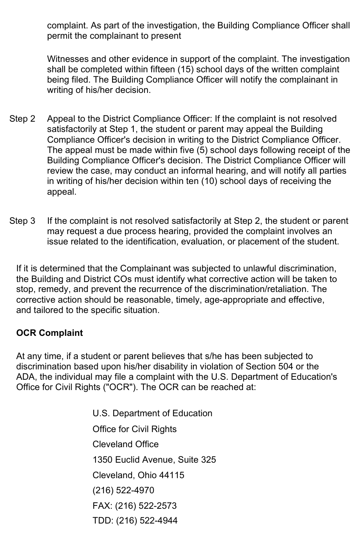complaint. As part of the investigation, the Building Compliance Officer shall permit the complainant to present

Witnesses and other evidence in support of the complaint. The investigation shall be completed within fifteen (15) school days of the written complaint being filed. The Building Compliance Officer will notify the complainant in writing of his/her decision.

- Step 2 Appeal to the District Compliance Officer: If the complaint is not resolved satisfactorily at Step 1, the student or parent may appeal the Building Compliance Officer's decision in writing to the District Compliance Officer. The appeal must be made within five (5) school days following receipt of the Building Compliance Officer's decision. The District Compliance Officer will review the case, may conduct an informal hearing, and will notify all parties in writing of his/her decision within ten (10) school days of receiving the appeal.
- Step 3 If the complaint is not resolved satisfactorily at Step 2, the student or parent may request a due process hearing, provided the complaint involves an issue related to the identification, evaluation, or placement of the student.

If it is determined that the Complainant was subjected to unlawful discrimination, the Building and District COs must identify what corrective action will be taken to stop, remedy, and prevent the recurrence of the discrimination/retaliation. The corrective action should be reasonable, timely, age-appropriate and effective, and tailored to the specific situation.

# **OCR Complaint**

At any time, if a student or parent believes that s/he has been subjected to discrimination based upon his/her disability in violation of Section 504 or the ADA, the individual may file a complaint with the U.S. Department of Education's Office for Civil Rights ("OCR"). The OCR can be reached at:

> U.S. Department of Education Office for Civil Rights Cleveland Office 1350 Euclid Avenue, Suite 325 Cleveland, Ohio 44115 (216) 522-4970 FAX: (216) 522-2573 TDD: (216) 522-4944